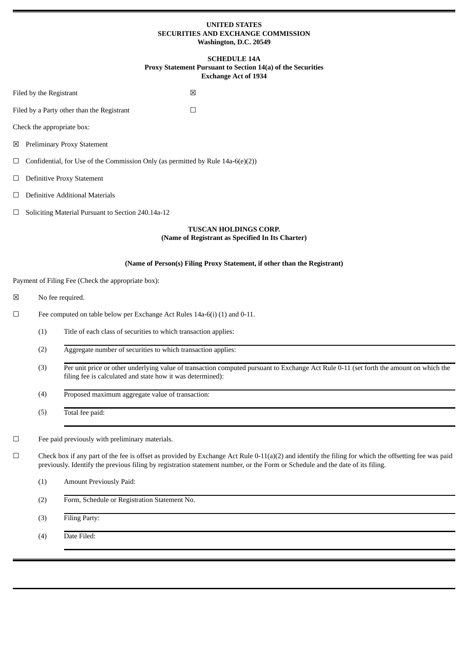# **UNITED STATES SECURITIES AND EXCHANGE COMMISSION Washington, D.C. 20549**

# **SCHEDULE 14A Proxy Statement Pursuant to Section 14(a) of the Securities Exchange Act of 1934**

|          |                                                                                 | <b>Exchange Act of 1934</b>                                                                                                                                                                                                                                                            |  |  |
|----------|---------------------------------------------------------------------------------|----------------------------------------------------------------------------------------------------------------------------------------------------------------------------------------------------------------------------------------------------------------------------------------|--|--|
|          | Filed by the Registrant                                                         | X                                                                                                                                                                                                                                                                                      |  |  |
|          |                                                                                 | Filed by a Party other than the Registrant<br>$\Box$                                                                                                                                                                                                                                   |  |  |
|          |                                                                                 | Check the appropriate box:                                                                                                                                                                                                                                                             |  |  |
|          |                                                                                 | ⊠ Preliminary Proxy Statement                                                                                                                                                                                                                                                          |  |  |
| Ш        | Confidential, for Use of the Commission Only (as permitted by Rule 14a-6(e)(2)) |                                                                                                                                                                                                                                                                                        |  |  |
| $\sqcup$ |                                                                                 | <b>Definitive Proxy Statement</b>                                                                                                                                                                                                                                                      |  |  |
| ⊔        | Definitive Additional Materials                                                 |                                                                                                                                                                                                                                                                                        |  |  |
| ⊔        |                                                                                 | Soliciting Material Pursuant to Section 240.14a-12                                                                                                                                                                                                                                     |  |  |
|          |                                                                                 | <b>TUSCAN HOLDINGS CORP.</b><br>(Name of Registrant as Specified In Its Charter)                                                                                                                                                                                                       |  |  |
|          |                                                                                 | (Name of Person(s) Filing Proxy Statement, if other than the Registrant)                                                                                                                                                                                                               |  |  |
|          |                                                                                 | Payment of Filing Fee (Check the appropriate box):                                                                                                                                                                                                                                     |  |  |
| ⊠        |                                                                                 | No fee required.                                                                                                                                                                                                                                                                       |  |  |
| $\Box$   |                                                                                 | Fee computed on table below per Exchange Act Rules 14a-6(i) (1) and 0-11.                                                                                                                                                                                                              |  |  |
|          | Title of each class of securities to which transaction applies:<br>(1)          |                                                                                                                                                                                                                                                                                        |  |  |
|          | (2)                                                                             | Aggregate number of securities to which transaction applies:                                                                                                                                                                                                                           |  |  |
|          | (3)                                                                             | Per unit price or other underlying value of transaction computed pursuant to Exchange Act Rule 0-11 (set forth the amount on which the<br>filing fee is calculated and state how it was determined):                                                                                   |  |  |
|          | (4)                                                                             | Proposed maximum aggregate value of transaction:                                                                                                                                                                                                                                       |  |  |
|          | (5)                                                                             | Total fee paid:                                                                                                                                                                                                                                                                        |  |  |
| $\Box$   |                                                                                 | Fee paid previously with preliminary materials.                                                                                                                                                                                                                                        |  |  |
| $\Box$   |                                                                                 | Check box if any part of the fee is offset as provided by Exchange Act Rule 0-11(a)(2) and identify the filing for which the offsetting fee was paid<br>previously. Identify the previous filing by registration statement number, or the Form or Schedule and the date of its filing. |  |  |
|          | (1)                                                                             | Amount Previously Paid:                                                                                                                                                                                                                                                                |  |  |
|          | (2)                                                                             | Form, Schedule or Registration Statement No.                                                                                                                                                                                                                                           |  |  |
|          | (3)                                                                             | Filing Party:                                                                                                                                                                                                                                                                          |  |  |
|          | (4)                                                                             | Date Filed:                                                                                                                                                                                                                                                                            |  |  |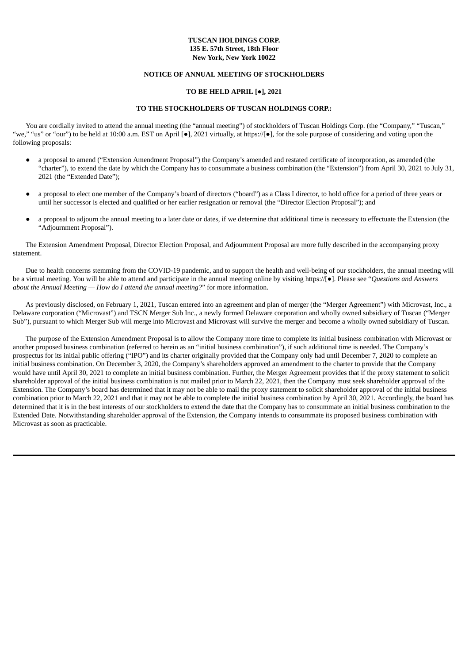# **TUSCAN HOLDINGS CORP. 135 E. 57th Street, 18th Floor New York, New York 10022**

# **NOTICE OF ANNUAL MEETING OF STOCKHOLDERS**

# **TO BE HELD APRIL [●], 2021**

# **TO THE STOCKHOLDERS OF TUSCAN HOLDINGS CORP.:**

You are cordially invited to attend the annual meeting (the "annual meeting") of stockholders of Tuscan Holdings Corp. (the "Company," "Tuscan," "we," "us" or "our") to be held at 10:00 a.m. EST on April [●], 2021 virtually, at https://[●], for the sole purpose of considering and voting upon the following proposals:

- a proposal to amend ("Extension Amendment Proposal") the Company's amended and restated certificate of incorporation, as amended (the "charter"), to extend the date by which the Company has to consummate a business combination (the "Extension") from April 30, 2021 to July 31, 2021 (the "Extended Date");
- a proposal to elect one member of the Company's board of directors ("board") as a Class I director, to hold office for a period of three years or until her successor is elected and qualified or her earlier resignation or removal (the "Director Election Proposal"); and
- a proposal to adjourn the annual meeting to a later date or dates, if we determine that additional time is necessary to effectuate the Extension (the "Adjournment Proposal").

The Extension Amendment Proposal, Director Election Proposal, and Adjournment Proposal are more fully described in the accompanying proxy statement.

Due to health concerns stemming from the COVID-19 pandemic, and to support the health and well-being of our stockholders, the annual meeting will be a virtual meeting. You will be able to attend and participate in the annual meeting online by visiting https://[●]. Please see "*Questions and Answers about the Annual Meeting — How do I attend the annual meeting?*" for more information.

As previously disclosed, on February 1, 2021, Tuscan entered into an agreement and plan of merger (the "Merger Agreement") with Microvast, Inc., a Delaware corporation ("Microvast") and TSCN Merger Sub Inc., a newly formed Delaware corporation and wholly owned subsidiary of Tuscan ("Merger Sub"), pursuant to which Merger Sub will merge into Microvast and Microvast will survive the merger and become a wholly owned subsidiary of Tuscan.

The purpose of the Extension Amendment Proposal is to allow the Company more time to complete its initial business combination with Microvast or another proposed business combination (referred to herein as an "initial business combination"), if such additional time is needed. The Company's prospectus for its initial public offering ("IPO") and its charter originally provided that the Company only had until December 7, 2020 to complete an initial business combination. On December 3, 2020, the Company's shareholders approved an amendment to the charter to provide that the Company would have until April 30, 2021 to complete an initial business combination. Further, the Merger Agreement provides that if the proxy statement to solicit shareholder approval of the initial business combination is not mailed prior to March 22, 2021, then the Company must seek shareholder approval of the Extension. The Company's board has determined that it may not be able to mail the proxy statement to solicit shareholder approval of the initial business combination prior to March 22, 2021 and that it may not be able to complete the initial business combination by April 30, 2021. Accordingly, the board has determined that it is in the best interests of our stockholders to extend the date that the Company has to consummate an initial business combination to the Extended Date. Notwithstanding shareholder approval of the Extension, the Company intends to consummate its proposed business combination with Microvast as soon as practicable.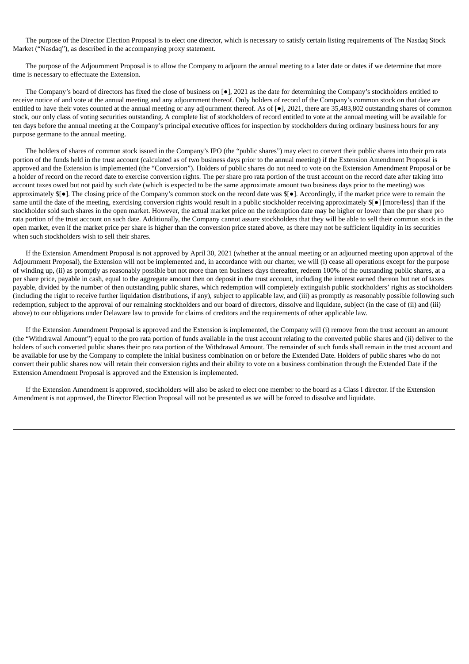The purpose of the Director Election Proposal is to elect one director, which is necessary to satisfy certain listing requirements of The Nasdaq Stock Market ("Nasdaq"), as described in the accompanying proxy statement.

The purpose of the Adjournment Proposal is to allow the Company to adjourn the annual meeting to a later date or dates if we determine that more time is necessary to effectuate the Extension.

The Company's board of directors has fixed the close of business on [●], 2021 as the date for determining the Company's stockholders entitled to receive notice of and vote at the annual meeting and any adjournment thereof. Only holders of record of the Company's common stock on that date are entitled to have their votes counted at the annual meeting or any adjournment thereof. As of [ $\bullet$ ], 2021, there are 35,483,802 outstanding shares of common stock, our only class of voting securities outstanding. A complete list of stockholders of record entitled to vote at the annual meeting will be available for ten days before the annual meeting at the Company's principal executive offices for inspection by stockholders during ordinary business hours for any purpose germane to the annual meeting.

The holders of shares of common stock issued in the Company's IPO (the "public shares") may elect to convert their public shares into their pro rata portion of the funds held in the trust account (calculated as of two business days prior to the annual meeting) if the Extension Amendment Proposal is approved and the Extension is implemented (the "Conversion"). Holders of public shares do not need to vote on the Extension Amendment Proposal or be a holder of record on the record date to exercise conversion rights. The per share pro rata portion of the trust account on the record date after taking into account taxes owed but not paid by such date (which is expected to be the same approximate amount two business days prior to the meeting) was approximately \$[●]. The closing price of the Company's common stock on the record date was \$[●]. Accordingly, if the market price were to remain the same until the date of the meeting, exercising conversion rights would result in a public stockholder receiving approximately  $\mathcal{S}[\bullet]$  [more/less] than if the stockholder sold such shares in the open market. However, the actual market price on the redemption date may be higher or lower than the per share pro rata portion of the trust account on such date. Additionally, the Company cannot assure stockholders that they will be able to sell their common stock in the open market, even if the market price per share is higher than the conversion price stated above, as there may not be sufficient liquidity in its securities when such stockholders wish to sell their shares.

If the Extension Amendment Proposal is not approved by April 30, 2021 (whether at the annual meeting or an adjourned meeting upon approval of the Adjournment Proposal), the Extension will not be implemented and, in accordance with our charter, we will (i) cease all operations except for the purpose of winding up, (ii) as promptly as reasonably possible but not more than ten business days thereafter, redeem 100% of the outstanding public shares, at a per share price, payable in cash, equal to the aggregate amount then on deposit in the trust account, including the interest earned thereon but net of taxes payable, divided by the number of then outstanding public shares, which redemption will completely extinguish public stockholders' rights as stockholders (including the right to receive further liquidation distributions, if any), subject to applicable law, and (iii) as promptly as reasonably possible following such redemption, subject to the approval of our remaining stockholders and our board of directors, dissolve and liquidate, subject (in the case of (ii) and (iii) above) to our obligations under Delaware law to provide for claims of creditors and the requirements of other applicable law.

If the Extension Amendment Proposal is approved and the Extension is implemented, the Company will (i) remove from the trust account an amount (the "Withdrawal Amount") equal to the pro rata portion of funds available in the trust account relating to the converted public shares and (ii) deliver to the holders of such converted public shares their pro rata portion of the Withdrawal Amount. The remainder of such funds shall remain in the trust account and be available for use by the Company to complete the initial business combination on or before the Extended Date. Holders of public shares who do not convert their public shares now will retain their conversion rights and their ability to vote on a business combination through the Extended Date if the Extension Amendment Proposal is approved and the Extension is implemented.

If the Extension Amendment is approved, stockholders will also be asked to elect one member to the board as a Class I director. If the Extension Amendment is not approved, the Director Election Proposal will not be presented as we will be forced to dissolve and liquidate.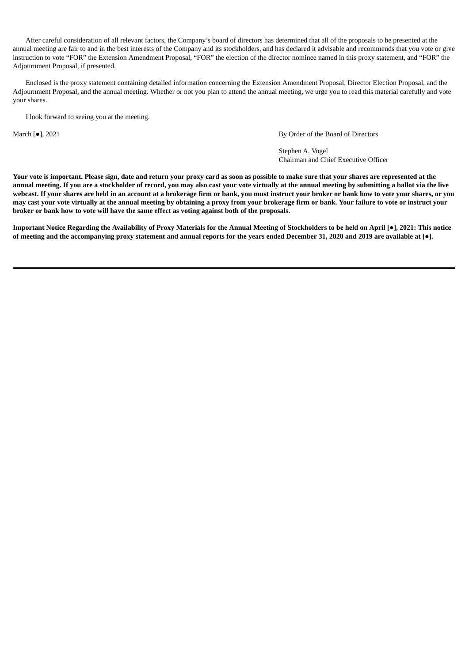After careful consideration of all relevant factors, the Company's board of directors has determined that all of the proposals to be presented at the annual meeting are fair to and in the best interests of the Company and its stockholders, and has declared it advisable and recommends that you vote or give instruction to vote "FOR" the Extension Amendment Proposal, "FOR" the election of the director nominee named in this proxy statement, and "FOR" the Adjournment Proposal, if presented.

Enclosed is the proxy statement containing detailed information concerning the Extension Amendment Proposal, Director Election Proposal, and the Adjournment Proposal, and the annual meeting. Whether or not you plan to attend the annual meeting, we urge you to read this material carefully and vote your shares.

I look forward to seeing you at the meeting.

March [●], 2021 By Order of the Board of Directors

Stephen A. Vogel Chairman and Chief Executive Officer

Your vote is important. Please sign, date and return your proxy card as soon as possible to make sure that your shares are represented at the annual meeting. If you are a stockholder of record, you may also cast your vote virtually at the annual meeting by submitting a ballot via the live webcast. If your shares are held in an account at a brokerage firm or bank, you must instruct your broker or bank how to vote your shares, or you may cast your vote virtually at the annual meeting by obtaining a proxy from your brokerage firm or bank. Your failure to vote or instruct your **broker or bank how to vote will have the same effect as voting against both of the proposals.**

Important Notice Regarding the Availability of Proxy Materials for the Annual Meeting of Stockholders to be held on April [ $\bullet$ ], 2021: This notice of meeting and the accompanying proxy statement and annual reports for the years ended December 31, 2020 and 2019 are available at [ $\bullet$ ].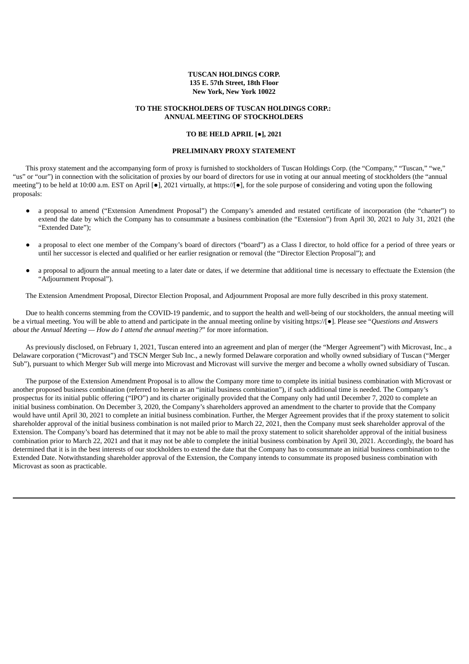# **TUSCAN HOLDINGS CORP. 135 E. 57th Street, 18th Floor New York, New York 10022**

# **TO THE STOCKHOLDERS OF TUSCAN HOLDINGS CORP.: ANNUAL MEETING OF STOCKHOLDERS**

## **TO BE HELD APRIL [**●**], 2021**

## **PRELIMINARY PROXY STATEMENT**

This proxy statement and the accompanying form of proxy is furnished to stockholders of Tuscan Holdings Corp. (the "Company," "Tuscan," "we," "us" or "our") in connection with the solicitation of proxies by our board of directors for use in voting at our annual meeting of stockholders (the "annual meeting") to be held at 10:00 a.m. EST on April [●], 2021 virtually, at https://[●], for the sole purpose of considering and voting upon the following proposals:

- a proposal to amend ("Extension Amendment Proposal") the Company's amended and restated certificate of incorporation (the "charter") to extend the date by which the Company has to consummate a business combination (the "Extension") from April 30, 2021 to July 31, 2021 (the "Extended Date");
- a proposal to elect one member of the Company's board of directors ("board") as a Class I director, to hold office for a period of three years or until her successor is elected and qualified or her earlier resignation or removal (the "Director Election Proposal"); and
- a proposal to adjourn the annual meeting to a later date or dates, if we determine that additional time is necessary to effectuate the Extension (the "Adjournment Proposal").

The Extension Amendment Proposal, Director Election Proposal, and Adjournment Proposal are more fully described in this proxy statement.

Due to health concerns stemming from the COVID-19 pandemic, and to support the health and well-being of our stockholders, the annual meeting will be a virtual meeting. You will be able to attend and participate in the annual meeting online by visiting https://[●]. Please see "*Questions and Answers about the Annual Meeting — How do I attend the annual meeting?*" for more information.

As previously disclosed, on February 1, 2021, Tuscan entered into an agreement and plan of merger (the "Merger Agreement") with Microvast, Inc., a Delaware corporation ("Microvast") and TSCN Merger Sub Inc., a newly formed Delaware corporation and wholly owned subsidiary of Tuscan ("Merger Sub"), pursuant to which Merger Sub will merge into Microvast and Microvast will survive the merger and become a wholly owned subsidiary of Tuscan.

The purpose of the Extension Amendment Proposal is to allow the Company more time to complete its initial business combination with Microvast or another proposed business combination (referred to herein as an "initial business combination"), if such additional time is needed. The Company's prospectus for its initial public offering ("IPO") and its charter originally provided that the Company only had until December 7, 2020 to complete an initial business combination. On December 3, 2020, the Company's shareholders approved an amendment to the charter to provide that the Company would have until April 30, 2021 to complete an initial business combination. Further, the Merger Agreement provides that if the proxy statement to solicit shareholder approval of the initial business combination is not mailed prior to March 22, 2021, then the Company must seek shareholder approval of the Extension. The Company's board has determined that it may not be able to mail the proxy statement to solicit shareholder approval of the initial business combination prior to March 22, 2021 and that it may not be able to complete the initial business combination by April 30, 2021. Accordingly, the board has determined that it is in the best interests of our stockholders to extend the date that the Company has to consummate an initial business combination to the Extended Date. Notwithstanding shareholder approval of the Extension, the Company intends to consummate its proposed business combination with Microvast as soon as practicable.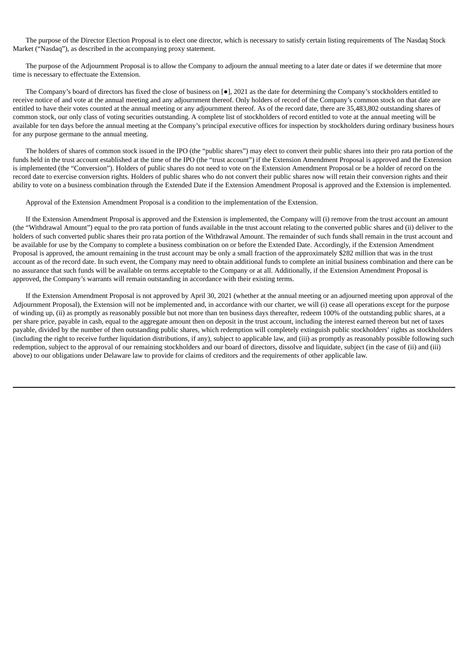The purpose of the Director Election Proposal is to elect one director, which is necessary to satisfy certain listing requirements of The Nasdaq Stock Market ("Nasdaq"), as described in the accompanying proxy statement.

The purpose of the Adjournment Proposal is to allow the Company to adjourn the annual meeting to a later date or dates if we determine that more time is necessary to effectuate the Extension.

The Company's board of directors has fixed the close of business on [●], 2021 as the date for determining the Company's stockholders entitled to receive notice of and vote at the annual meeting and any adjournment thereof. Only holders of record of the Company's common stock on that date are entitled to have their votes counted at the annual meeting or any adjournment thereof. As of the record date, there are 35,483,802 outstanding shares of common stock, our only class of voting securities outstanding. A complete list of stockholders of record entitled to vote at the annual meeting will be available for ten days before the annual meeting at the Company's principal executive offices for inspection by stockholders during ordinary business hours for any purpose germane to the annual meeting.

The holders of shares of common stock issued in the IPO (the "public shares") may elect to convert their public shares into their pro rata portion of the funds held in the trust account established at the time of the IPO (the "trust account") if the Extension Amendment Proposal is approved and the Extension is implemented (the "Conversion"). Holders of public shares do not need to vote on the Extension Amendment Proposal or be a holder of record on the record date to exercise conversion rights. Holders of public shares who do not convert their public shares now will retain their conversion rights and their ability to vote on a business combination through the Extended Date if the Extension Amendment Proposal is approved and the Extension is implemented.

Approval of the Extension Amendment Proposal is a condition to the implementation of the Extension.

If the Extension Amendment Proposal is approved and the Extension is implemented, the Company will (i) remove from the trust account an amount (the "Withdrawal Amount") equal to the pro rata portion of funds available in the trust account relating to the converted public shares and (ii) deliver to the holders of such converted public shares their pro rata portion of the Withdrawal Amount. The remainder of such funds shall remain in the trust account and be available for use by the Company to complete a business combination on or before the Extended Date. Accordingly, if the Extension Amendment Proposal is approved, the amount remaining in the trust account may be only a small fraction of the approximately \$282 million that was in the trust account as of the record date. In such event, the Company may need to obtain additional funds to complete an initial business combination and there can be no assurance that such funds will be available on terms acceptable to the Company or at all. Additionally, if the Extension Amendment Proposal is approved, the Company's warrants will remain outstanding in accordance with their existing terms.

If the Extension Amendment Proposal is not approved by April 30, 2021 (whether at the annual meeting or an adjourned meeting upon approval of the Adjournment Proposal), the Extension will not be implemented and, in accordance with our charter, we will (i) cease all operations except for the purpose of winding up, (ii) as promptly as reasonably possible but not more than ten business days thereafter, redeem 100% of the outstanding public shares, at a per share price, payable in cash, equal to the aggregate amount then on deposit in the trust account, including the interest earned thereon but net of taxes payable, divided by the number of then outstanding public shares, which redemption will completely extinguish public stockholders' rights as stockholders (including the right to receive further liquidation distributions, if any), subject to applicable law, and (iii) as promptly as reasonably possible following such redemption, subject to the approval of our remaining stockholders and our board of directors, dissolve and liquidate, subject (in the case of (ii) and (iii) above) to our obligations under Delaware law to provide for claims of creditors and the requirements of other applicable law.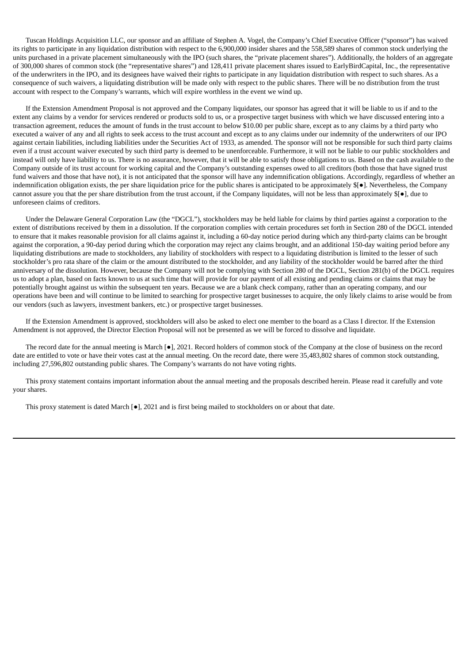Tuscan Holdings Acquisition LLC, our sponsor and an affiliate of Stephen A. Vogel, the Company's Chief Executive Officer ("sponsor") has waived its rights to participate in any liquidation distribution with respect to the 6,900,000 insider shares and the 558,589 shares of common stock underlying the units purchased in a private placement simultaneously with the IPO (such shares, the "private placement shares"). Additionally, the holders of an aggregate of 300,000 shares of common stock (the "representative shares") and 128,411 private placement shares issued to EarlyBirdCapital, Inc., the representative of the underwriters in the IPO, and its designees have waived their rights to participate in any liquidation distribution with respect to such shares. As a consequence of such waivers, a liquidating distribution will be made only with respect to the public shares. There will be no distribution from the trust account with respect to the Company's warrants, which will expire worthless in the event we wind up.

If the Extension Amendment Proposal is not approved and the Company liquidates, our sponsor has agreed that it will be liable to us if and to the extent any claims by a vendor for services rendered or products sold to us, or a prospective target business with which we have discussed entering into a transaction agreement, reduces the amount of funds in the trust account to below \$10.00 per public share, except as to any claims by a third party who executed a waiver of any and all rights to seek access to the trust account and except as to any claims under our indemnity of the underwriters of our IPO against certain liabilities, including liabilities under the Securities Act of 1933, as amended. The sponsor will not be responsible for such third party claims even if a trust account waiver executed by such third party is deemed to be unenforceable. Furthermore, it will not be liable to our public stockholders and instead will only have liability to us. There is no assurance, however, that it will be able to satisfy those obligations to us. Based on the cash available to the Company outside of its trust account for working capital and the Company's outstanding expenses owed to all creditors (both those that have signed trust fund waivers and those that have not), it is not anticipated that the sponsor will have any indemnification obligations. Accordingly, regardless of whether an indemnification obligation exists, the per share liquidation price for the public shares is anticipated to be approximately \$[●]. Nevertheless, the Company cannot assure you that the per share distribution from the trust account, if the Company liquidates, will not be less than approximately \$[●], due to unforeseen claims of creditors.

Under the Delaware General Corporation Law (the "DGCL"), stockholders may be held liable for claims by third parties against a corporation to the extent of distributions received by them in a dissolution. If the corporation complies with certain procedures set forth in Section 280 of the DGCL intended to ensure that it makes reasonable provision for all claims against it, including a 60-day notice period during which any third-party claims can be brought against the corporation, a 90-day period during which the corporation may reject any claims brought, and an additional 150-day waiting period before any liquidating distributions are made to stockholders, any liability of stockholders with respect to a liquidating distribution is limited to the lesser of such stockholder's pro rata share of the claim or the amount distributed to the stockholder, and any liability of the stockholder would be barred after the third anniversary of the dissolution. However, because the Company will not be complying with Section 280 of the DGCL, Section 281(b) of the DGCL requires us to adopt a plan, based on facts known to us at such time that will provide for our payment of all existing and pending claims or claims that may be potentially brought against us within the subsequent ten years. Because we are a blank check company, rather than an operating company, and our operations have been and will continue to be limited to searching for prospective target businesses to acquire, the only likely claims to arise would be from our vendors (such as lawyers, investment bankers, etc.) or prospective target businesses.

If the Extension Amendment is approved, stockholders will also be asked to elect one member to the board as a Class I director. If the Extension Amendment is not approved, the Director Election Proposal will not be presented as we will be forced to dissolve and liquidate.

The record date for the annual meeting is March [●], 2021. Record holders of common stock of the Company at the close of business on the record date are entitled to vote or have their votes cast at the annual meeting. On the record date, there were 35,483,802 shares of common stock outstanding, including 27,596,802 outstanding public shares. The Company's warrants do not have voting rights.

This proxy statement contains important information about the annual meeting and the proposals described herein. Please read it carefully and vote your shares.

This proxy statement is dated March [●], 2021 and is first being mailed to stockholders on or about that date.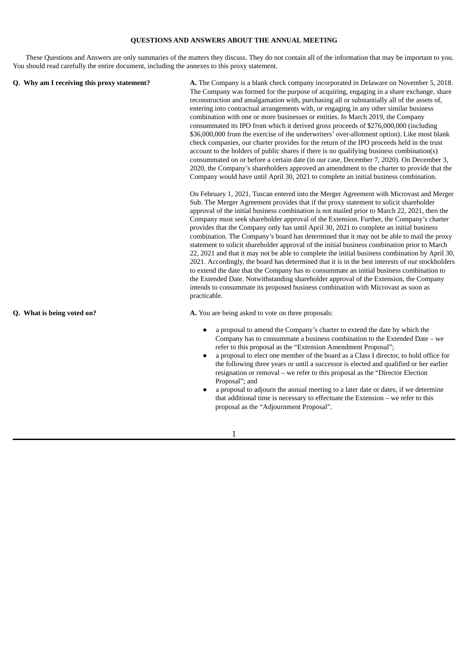# **QUESTIONS AND ANSWERS ABOUT THE ANNUAL MEETING**

These Questions and Answers are only summaries of the matters they discuss. They do not contain all of the information that may be important to you. You should read carefully the entire document, including the annexes to this proxy statement.

| Q. Why am I receiving this proxy statement? | A. The Company is a blank check company incorporated in Delaware on November 5, 2018.<br>The Company was formed for the purpose of acquiring, engaging in a share exchange, share<br>reconstruction and amalgamation with, purchasing all or substantially all of the assets of,<br>entering into contractual arrangements with, or engaging in any other similar business<br>combination with one or more businesses or entities. In March 2019, the Company<br>consummated its IPO from which it derived gross proceeds of \$276,000,000 (including<br>\$36,000,000 from the exercise of the underwriters' over-allotment option). Like most blank<br>check companies, our charter provides for the return of the IPO proceeds held in the trust<br>account to the holders of public shares if there is no qualifying business combination(s)<br>consummated on or before a certain date (in our case, December 7, 2020). On December 3,<br>2020, the Company's shareholders approved an amendment to the charter to provide that the<br>Company would have until April 30, 2021 to complete an initial business combination.                                     |  |  |
|---------------------------------------------|---------------------------------------------------------------------------------------------------------------------------------------------------------------------------------------------------------------------------------------------------------------------------------------------------------------------------------------------------------------------------------------------------------------------------------------------------------------------------------------------------------------------------------------------------------------------------------------------------------------------------------------------------------------------------------------------------------------------------------------------------------------------------------------------------------------------------------------------------------------------------------------------------------------------------------------------------------------------------------------------------------------------------------------------------------------------------------------------------------------------------------------------------------------------|--|--|
|                                             | On February 1, 2021, Tuscan entered into the Merger Agreement with Microvast and Merger<br>Sub. The Merger Agreement provides that if the proxy statement to solicit shareholder<br>approval of the initial business combination is not mailed prior to March 22, 2021, then the<br>Company must seek shareholder approval of the Extension. Further, the Company's charter<br>provides that the Company only has until April 30, 2021 to complete an initial business<br>combination. The Company's board has determined that it may not be able to mail the proxy<br>statement to solicit shareholder approval of the initial business combination prior to March<br>22, 2021 and that it may not be able to complete the initial business combination by April 30,<br>2021. Accordingly, the board has determined that it is in the best interests of our stockholders<br>to extend the date that the Company has to consummate an initial business combination to<br>the Extended Date. Notwithstanding shareholder approval of the Extension, the Company<br>intends to consummate its proposed business combination with Microvast as soon as<br>practicable. |  |  |
| Q. What is being voted on?                  | A. You are being asked to vote on three proposals:                                                                                                                                                                                                                                                                                                                                                                                                                                                                                                                                                                                                                                                                                                                                                                                                                                                                                                                                                                                                                                                                                                                  |  |  |
|                                             | a proposal to amend the Company's charter to extend the date by which the<br>Company has to consummate a business combination to the Extended Date $-$ we<br>refer to this proposal as the "Extension Amendment Proposal";                                                                                                                                                                                                                                                                                                                                                                                                                                                                                                                                                                                                                                                                                                                                                                                                                                                                                                                                          |  |  |

- a proposal to elect one member of the board as a Class I director, to hold office for the following three years or until a successor is elected and qualified or her earlier resignation or removal – we refer to this proposal as the "Director Election Proposal"; and
- a proposal to adjourn the annual meeting to a later date or dates, if we determine that additional time is necessary to effectuate the Extension – we refer to this proposal as the "Adjournment Proposal".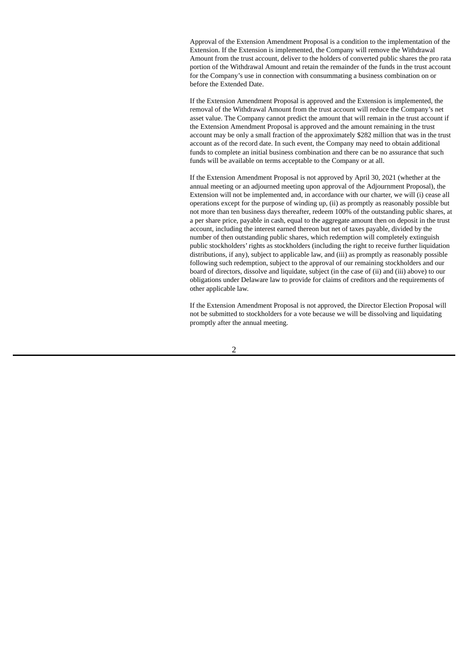Approval of the Extension Amendment Proposal is a condition to the implementation of the Extension. If the Extension is implemented, the Company will remove the Withdrawal Amount from the trust account, deliver to the holders of converted public shares the pro rata portion of the Withdrawal Amount and retain the remainder of the funds in the trust account for the Company's use in connection with consummating a business combination on or before the Extended Date.

If the Extension Amendment Proposal is approved and the Extension is implemented, the removal of the Withdrawal Amount from the trust account will reduce the Company's net asset value. The Company cannot predict the amount that will remain in the trust account if the Extension Amendment Proposal is approved and the amount remaining in the trust account may be only a small fraction of the approximately \$282 million that was in the trust account as of the record date. In such event, the Company may need to obtain additional funds to complete an initial business combination and there can be no assurance that such funds will be available on terms acceptable to the Company or at all.

If the Extension Amendment Proposal is not approved by April 30, 2021 (whether at the annual meeting or an adjourned meeting upon approval of the Adjournment Proposal), the Extension will not be implemented and, in accordance with our charter, we will (i) cease all operations except for the purpose of winding up, (ii) as promptly as reasonably possible but not more than ten business days thereafter, redeem 100% of the outstanding public shares, at a per share price, payable in cash, equal to the aggregate amount then on deposit in the trust account, including the interest earned thereon but net of taxes payable, divided by the number of then outstanding public shares, which redemption will completely extinguish public stockholders' rights as stockholders (including the right to receive further liquidation distributions, if any), subject to applicable law, and (iii) as promptly as reasonably possible following such redemption, subject to the approval of our remaining stockholders and our board of directors, dissolve and liquidate, subject (in the case of (ii) and (iii) above) to our obligations under Delaware law to provide for claims of creditors and the requirements of other applicable law.

If the Extension Amendment Proposal is not approved, the Director Election Proposal will not be submitted to stockholders for a vote because we will be dissolving and liquidating promptly after the annual meeting.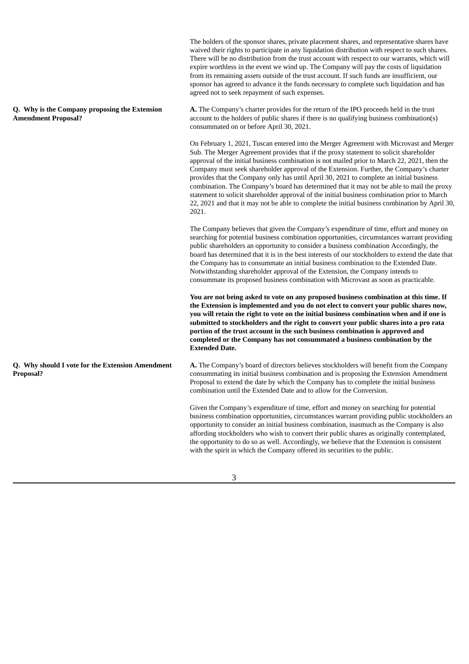waived their rights to participate in any liquidation distribution with respect to such shares. There will be no distribution from the trust account with respect to our warrants, which will expire worthless in the event we wind up. The Company will pay the costs of liquidation from its remaining assets outside of the trust account. If such funds are insufficient, our sponsor has agreed to advance it the funds necessary to complete such liquidation and has agreed not to seek repayment of such expenses. **Q. Why is the Company proposing the Extension Amendment Proposal? A.** The Company's charter provides for the return of the IPO proceeds held in the trust account to the holders of public shares if there is no qualifying business combination(s) consummated on or before April 30, 2021. On February 1, 2021, Tuscan entered into the Merger Agreement with Microvast and Merger Sub. The Merger Agreement provides that if the proxy statement to solicit shareholder approval of the initial business combination is not mailed prior to March 22, 2021, then the Company must seek shareholder approval of the Extension. Further, the Company's charter provides that the Company only has until April 30, 2021 to complete an initial business combination. The Company's board has determined that it may not be able to mail the proxy statement to solicit shareholder approval of the initial business combination prior to March 22, 2021 and that it may not be able to complete the initial business combination by April 30, 2021. The Company believes that given the Company's expenditure of time, effort and money on searching for potential business combination opportunities, circumstances warrant providing public shareholders an opportunity to consider a business combination Accordingly, the board has determined that it is in the best interests of our stockholders to extend the date that the Company has to consummate an initial business combination to the Extended Date. Notwithstanding shareholder approval of the Extension, the Company intends to consummate its proposed business combination with Microvast as soon as practicable. **You are not being asked to vote on any proposed business combination at this time. If the Extension is implemented and you do not elect to convert your public shares now, you will retain the right to vote on the initial business combination when and if one is submitted to stockholders and the right to convert your public shares into a pro rata portion of the trust account in the such business combination is approved and completed or the Company has not consummated a business combination by the Extended Date. Q. Why should I vote for the Extension Amendment Proposal? A.** The Company's board of directors believes stockholders will benefit from the Company consummating its initial business combination and is proposing the Extension Amendment Proposal to extend the date by which the Company has to complete the initial business combination until the Extended Date and to allow for the Conversion. Given the Company's expenditure of time, effort and money on searching for potential business combination opportunities, circumstances warrant providing public stockholders an opportunity to consider an initial business combination, inasmuch as the Company is also affording stockholders who wish to convert their public shares as originally contemplated, the opportunity to do so as well. Accordingly, we believe that the Extension is consistent with the spirit in which the Company offered its securities to the public.

The holders of the sponsor shares, private placement shares, and representative shares have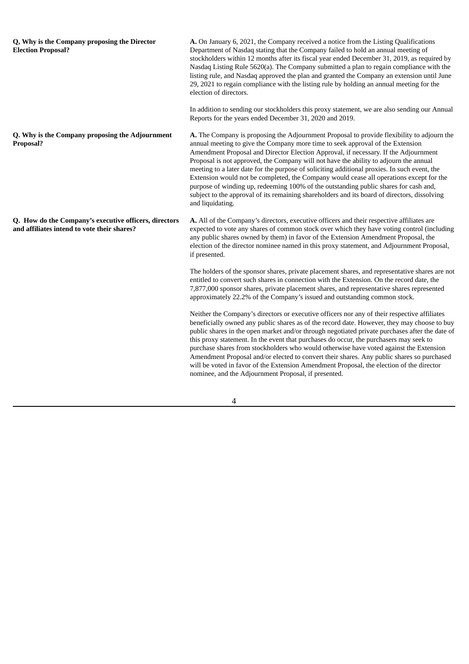**Q, Why is the Company proposing the Director Election Proposal? A.** On January 6, 2021, the Company received a notice from the Listing Qualifications Department of Nasdaq stating that the Company failed to hold an annual meeting of stockholders within 12 months after its fiscal year ended December 31, 2019, as required by Nasdaq Listing Rule 5620(a). The Company submitted a plan to regain compliance with the listing rule, and Nasdaq approved the plan and granted the Company an extension until June 29, 2021 to regain compliance with the listing rule by holding an annual meeting for the election of directors. In addition to sending our stockholders this proxy statement, we are also sending our Annual Reports for the years ended December 31, 2020 and 2019. **Q. Why is the Company proposing the Adjournment Proposal? A.** The Company is proposing the Adjournment Proposal to provide flexibility to adjourn the annual meeting to give the Company more time to seek approval of the Extension Amendment Proposal and Director Election Approval, if necessary. If the Adjournment Proposal is not approved, the Company will not have the ability to adjourn the annual meeting to a later date for the purpose of soliciting additional proxies. In such event, the Extension would not be completed, the Company would cease all operations except for the purpose of winding up, redeeming 100% of the outstanding public shares for cash and, subject to the approval of its remaining shareholders and its board of directors, dissolving and liquidating. **Q. How do the Company's executive officers, directors and affiliates intend to vote their shares? A.** All of the Company's directors, executive officers and their respective affiliates are expected to vote any shares of common stock over which they have voting control (including any public shares owned by them) in favor of the Extension Amendment Proposal, the election of the director nominee named in this proxy statement, and Adjournment Proposal, if presented. The holders of the sponsor shares, private placement shares, and representative shares are not entitled to convert such shares in connection with the Extension. On the record date, the 7,877,000 sponsor shares, private placement shares, and representative shares represented approximately 22.2% of the Company's issued and outstanding common stock. Neither the Company's directors or executive officers nor any of their respective affiliates beneficially owned any public shares as of the record date. However, they may choose to buy public shares in the open market and/or through negotiated private purchases after the date of

this proxy statement. In the event that purchases do occur, the purchasers may seek to purchase shares from stockholders who would otherwise have voted against the Extension Amendment Proposal and/or elected to convert their shares. Any public shares so purchased will be voted in favor of the Extension Amendment Proposal, the election of the director nominee, and the Adjournment Proposal, if presented.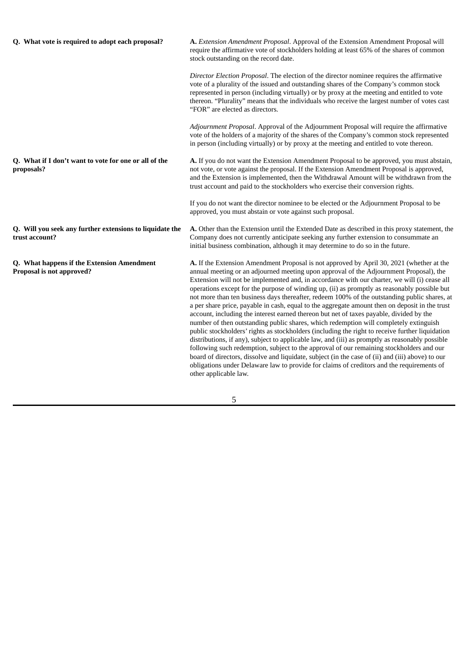| Q. What vote is required to adopt each proposal?                           | A. Extension Amendment Proposal. Approval of the Extension Amendment Proposal will<br>require the affirmative vote of stockholders holding at least 65% of the shares of common<br>stock outstanding on the record date.                                                                                                                                                                                                                                                                                                                                                                                                                                                                                                                                                                                                                                                                                                                                                                                                                                                                                                                                                                                                                                                                             |  |  |  |
|----------------------------------------------------------------------------|------------------------------------------------------------------------------------------------------------------------------------------------------------------------------------------------------------------------------------------------------------------------------------------------------------------------------------------------------------------------------------------------------------------------------------------------------------------------------------------------------------------------------------------------------------------------------------------------------------------------------------------------------------------------------------------------------------------------------------------------------------------------------------------------------------------------------------------------------------------------------------------------------------------------------------------------------------------------------------------------------------------------------------------------------------------------------------------------------------------------------------------------------------------------------------------------------------------------------------------------------------------------------------------------------|--|--|--|
|                                                                            | Director Election Proposal. The election of the director nominee requires the affirmative<br>vote of a plurality of the issued and outstanding shares of the Company's common stock<br>represented in person (including virtually) or by proxy at the meeting and entitled to vote<br>thereon. "Plurality" means that the individuals who receive the largest number of votes cast<br>"FOR" are elected as directors.                                                                                                                                                                                                                                                                                                                                                                                                                                                                                                                                                                                                                                                                                                                                                                                                                                                                                |  |  |  |
|                                                                            | Adjournment Proposal. Approval of the Adjournment Proposal will require the affirmative<br>vote of the holders of a majority of the shares of the Company's common stock represented<br>in person (including virtually) or by proxy at the meeting and entitled to vote thereon.                                                                                                                                                                                                                                                                                                                                                                                                                                                                                                                                                                                                                                                                                                                                                                                                                                                                                                                                                                                                                     |  |  |  |
| Q. What if I don't want to vote for one or all of the<br>proposals?        | A. If you do not want the Extension Amendment Proposal to be approved, you must abstain,<br>not vote, or vote against the proposal. If the Extension Amendment Proposal is approved,<br>and the Extension is implemented, then the Withdrawal Amount will be withdrawn from the<br>trust account and paid to the stockholders who exercise their conversion rights.                                                                                                                                                                                                                                                                                                                                                                                                                                                                                                                                                                                                                                                                                                                                                                                                                                                                                                                                  |  |  |  |
|                                                                            | If you do not want the director nominee to be elected or the Adjournment Proposal to be<br>approved, you must abstain or vote against such proposal.                                                                                                                                                                                                                                                                                                                                                                                                                                                                                                                                                                                                                                                                                                                                                                                                                                                                                                                                                                                                                                                                                                                                                 |  |  |  |
| Q. Will you seek any further extensions to liquidate the<br>trust account? | A. Other than the Extension until the Extended Date as described in this proxy statement, the<br>Company does not currently anticipate seeking any further extension to consummate an<br>initial business combination, although it may determine to do so in the future.                                                                                                                                                                                                                                                                                                                                                                                                                                                                                                                                                                                                                                                                                                                                                                                                                                                                                                                                                                                                                             |  |  |  |
| Q. What happens if the Extension Amendment<br>Proposal is not approved?    | A. If the Extension Amendment Proposal is not approved by April 30, 2021 (whether at the<br>annual meeting or an adjourned meeting upon approval of the Adjournment Proposal), the<br>Extension will not be implemented and, in accordance with our charter, we will (i) cease all<br>operations except for the purpose of winding up, (ii) as promptly as reasonably possible but<br>not more than ten business days thereafter, redeem 100% of the outstanding public shares, at<br>a per share price, payable in cash, equal to the aggregate amount then on deposit in the trust<br>account, including the interest earned thereon but net of taxes payable, divided by the<br>number of then outstanding public shares, which redemption will completely extinguish<br>public stockholders' rights as stockholders (including the right to receive further liquidation<br>distributions, if any), subject to applicable law, and (iii) as promptly as reasonably possible<br>following such redemption, subject to the approval of our remaining stockholders and our<br>board of directors, dissolve and liquidate, subject (in the case of (ii) and (iii) above) to our<br>obligations under Delaware law to provide for claims of creditors and the requirements of<br>other applicable law. |  |  |  |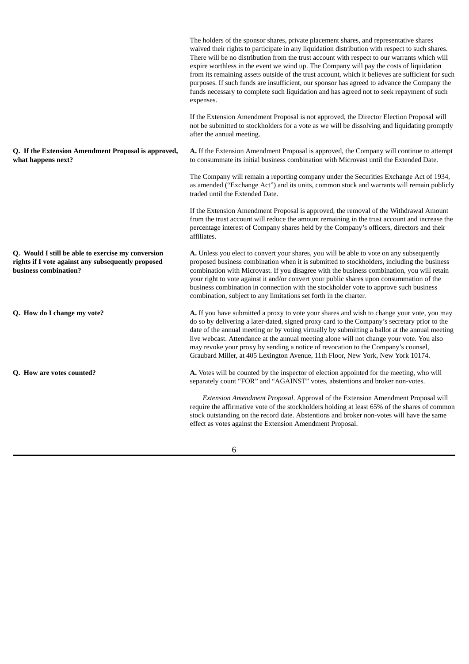|                                                                                                                                   | The holders of the sponsor shares, private placement shares, and representative shares<br>waived their rights to participate in any liquidation distribution with respect to such shares.<br>There will be no distribution from the trust account with respect to our warrants which will<br>expire worthless in the event we wind up. The Company will pay the costs of liquidation<br>from its remaining assets outside of the trust account, which it believes are sufficient for such<br>purposes. If such funds are insufficient, our sponsor has agreed to advance the Company the<br>funds necessary to complete such liquidation and has agreed not to seek repayment of such<br>expenses. |
|-----------------------------------------------------------------------------------------------------------------------------------|----------------------------------------------------------------------------------------------------------------------------------------------------------------------------------------------------------------------------------------------------------------------------------------------------------------------------------------------------------------------------------------------------------------------------------------------------------------------------------------------------------------------------------------------------------------------------------------------------------------------------------------------------------------------------------------------------|
|                                                                                                                                   | If the Extension Amendment Proposal is not approved, the Director Election Proposal will<br>not be submitted to stockholders for a vote as we will be dissolving and liquidating promptly<br>after the annual meeting.                                                                                                                                                                                                                                                                                                                                                                                                                                                                             |
| Q. If the Extension Amendment Proposal is approved,<br>what happens next?                                                         | <b>A.</b> If the Extension Amendment Proposal is approved, the Company will continue to attempt<br>to consummate its initial business combination with Microvast until the Extended Date.                                                                                                                                                                                                                                                                                                                                                                                                                                                                                                          |
|                                                                                                                                   | The Company will remain a reporting company under the Securities Exchange Act of 1934,<br>as amended ("Exchange Act") and its units, common stock and warrants will remain publicly<br>traded until the Extended Date.                                                                                                                                                                                                                                                                                                                                                                                                                                                                             |
|                                                                                                                                   | If the Extension Amendment Proposal is approved, the removal of the Withdrawal Amount<br>from the trust account will reduce the amount remaining in the trust account and increase the<br>percentage interest of Company shares held by the Company's officers, directors and their<br>affiliates.                                                                                                                                                                                                                                                                                                                                                                                                 |
| Q. Would I still be able to exercise my conversion<br>rights if I vote against any subsequently proposed<br>business combination? | A. Unless you elect to convert your shares, you will be able to vote on any subsequently<br>proposed business combination when it is submitted to stockholders, including the business<br>combination with Microvast. If you disagree with the business combination, you will retain<br>your right to vote against it and/or convert your public shares upon consummation of the<br>business combination in connection with the stockholder vote to approve such business<br>combination, subject to any limitations set forth in the charter.                                                                                                                                                     |
| Q. How do I change my vote?                                                                                                       | <b>A.</b> If you have submitted a proxy to vote your shares and wish to change your vote, you may<br>do so by delivering a later-dated, signed proxy card to the Company's secretary prior to the<br>date of the annual meeting or by voting virtually by submitting a ballot at the annual meeting<br>live webcast. Attendance at the annual meeting alone will not change your vote. You also<br>may revoke your proxy by sending a notice of revocation to the Company's counsel,<br>Graubard Miller, at 405 Lexington Avenue, 11th Floor, New York, New York 10174.                                                                                                                            |
| Q. How are votes counted?                                                                                                         | <b>A.</b> Votes will be counted by the inspector of election appointed for the meeting, who will<br>separately count "FOR" and "AGAINST" votes, abstentions and broker non-votes.                                                                                                                                                                                                                                                                                                                                                                                                                                                                                                                  |
|                                                                                                                                   | Extension Amendment Proposal. Approval of the Extension Amendment Proposal will<br>require the affirmative vote of the stockholders holding at least 65% of the shares of common<br>stock outstanding on the record date. Abstentions and broker non-votes will have the same<br>effect as votes against the Extension Amendment Proposal.                                                                                                                                                                                                                                                                                                                                                         |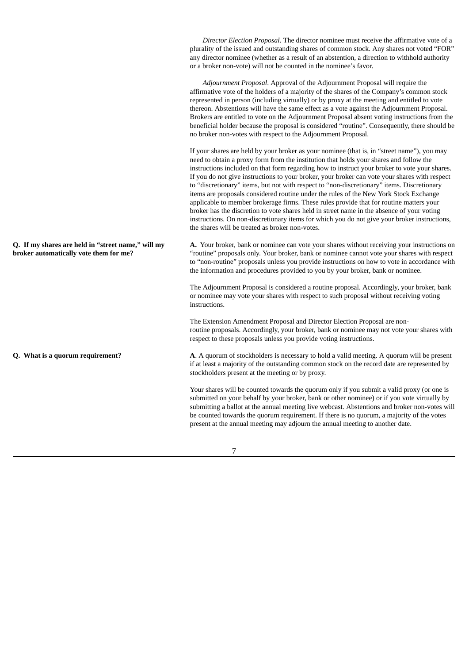*Director Election Proposal*. The director nominee must receive the affirmative vote of a plurality of the issued and outstanding shares of common stock. Any shares not voted "FOR" any director nominee (whether as a result of an abstention, a direction to withhold authority or a broker non-vote) will not be counted in the nominee's favor. *Adjournment Proposal*. Approval of the Adjournment Proposal will require the affirmative vote of the holders of a majority of the shares of the Company's common stock represented in person (including virtually) or by proxy at the meeting and entitled to vote thereon. Abstentions will have the same effect as a vote against the Adjournment Proposal. Brokers are entitled to vote on the Adjournment Proposal absent voting instructions from the beneficial holder because the proposal is considered "routine". Consequently, there should be no broker non-votes with respect to the Adjournment Proposal. If your shares are held by your broker as your nominee (that is, in "street name"), you may need to obtain a proxy form from the institution that holds your shares and follow the instructions included on that form regarding how to instruct your broker to vote your shares. If you do not give instructions to your broker, your broker can vote your shares with respect to "discretionary" items, but not with respect to "non-discretionary" items. Discretionary items are proposals considered routine under the rules of the New York Stock Exchange applicable to member brokerage firms. These rules provide that for routine matters your broker has the discretion to vote shares held in street name in the absence of your voting instructions. On non-discretionary items for which you do not give your broker instructions, the shares will be treated as broker non-votes. **Q. If my shares are held in "street name," will my broker automatically vote them for me? A.** Your broker, bank or nominee can vote your shares without receiving your instructions on "routine" proposals only. Your broker, bank or nominee cannot vote your shares with respect to "non-routine" proposals unless you provide instructions on how to vote in accordance with the information and procedures provided to you by your broker, bank or nominee. The Adjournment Proposal is considered a routine proposal. Accordingly, your broker, bank or nominee may vote your shares with respect to such proposal without receiving voting instructions. The Extension Amendment Proposal and Director Election Proposal are nonroutine proposals. Accordingly, your broker, bank or nominee may not vote your shares with respect to these proposals unless you provide voting instructions. **Q. What is a quorum requirement? A**. A quorum of stockholders is necessary to hold a valid meeting. A quorum will be present if at least a majority of the outstanding common stock on the record date are represented by stockholders present at the meeting or by proxy. Your shares will be counted towards the quorum only if you submit a valid proxy (or one is submitted on your behalf by your broker, bank or other nominee) or if you vote virtually by submitting a ballot at the annual meeting live webcast. Abstentions and broker non-votes will be counted towards the quorum requirement. If there is no quorum, a majority of the votes present at the annual meeting may adjourn the annual meeting to another date.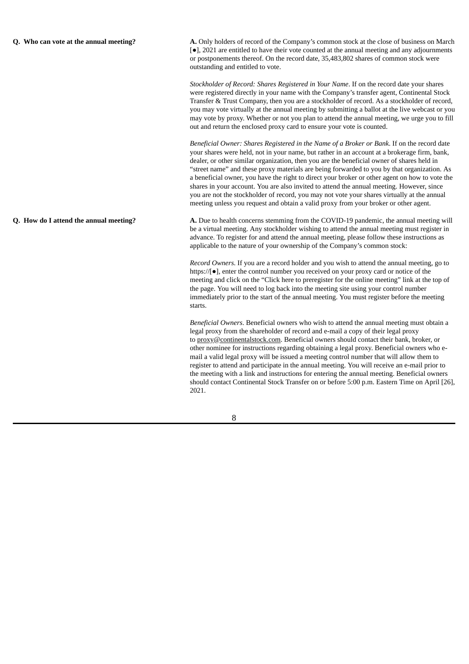**Q. Who can vote at the annual meeting? A.** Only holders of record of the Company's common stock at the close of business on March [●], 2021 are entitled to have their vote counted at the annual meeting and any adjournments or postponements thereof. On the record date, 35,483,802 shares of common stock were outstanding and entitled to vote.

> *Stockholder of Record: Shares Registered in Your Name*. If on the record date your shares were registered directly in your name with the Company's transfer agent, Continental Stock Transfer & Trust Company, then you are a stockholder of record. As a stockholder of record, you may vote virtually at the annual meeting by submitting a ballot at the live webcast or you may vote by proxy. Whether or not you plan to attend the annual meeting, we urge you to fill out and return the enclosed proxy card to ensure your vote is counted.

> *Beneficial Owner: Shares Registered in the Name of a Broker or Bank*. If on the record date your shares were held, not in your name, but rather in an account at a brokerage firm, bank, dealer, or other similar organization, then you are the beneficial owner of shares held in "street name" and these proxy materials are being forwarded to you by that organization. As a beneficial owner, you have the right to direct your broker or other agent on how to vote the shares in your account. You are also invited to attend the annual meeting. However, since you are not the stockholder of record, you may not vote your shares virtually at the annual meeting unless you request and obtain a valid proxy from your broker or other agent.

**Q. How do I attend the annual meeting? A.** Due to health concerns stemming from the COVID-19 pandemic, the annual meeting will be a virtual meeting. Any stockholder wishing to attend the annual meeting must register in advance. To register for and attend the annual meeting, please follow these instructions as applicable to the nature of your ownership of the Company's common stock:

> *Record Owners*. If you are a record holder and you wish to attend the annual meeting, go to https://[●], enter the control number you received on your proxy card or notice of the meeting and click on the "Click here to preregister for the online meeting" link at the top of the page. You will need to log back into the meeting site using your control number immediately prior to the start of the annual meeting. You must register before the meeting starts.

*Beneficial Owners*. Beneficial owners who wish to attend the annual meeting must obtain a legal proxy from the shareholder of record and e-mail a copy of their legal proxy to proxy@continentalstock.com. Beneficial owners should contact their bank, broker, or other nominee for instructions regarding obtaining a legal proxy. Beneficial owners who email a valid legal proxy will be issued a meeting control number that will allow them to register to attend and participate in the annual meeting. You will receive an e-mail prior to the meeting with a link and instructions for entering the annual meeting. Beneficial owners should contact Continental Stock Transfer on or before 5:00 p.m. Eastern Time on April [26], 2021.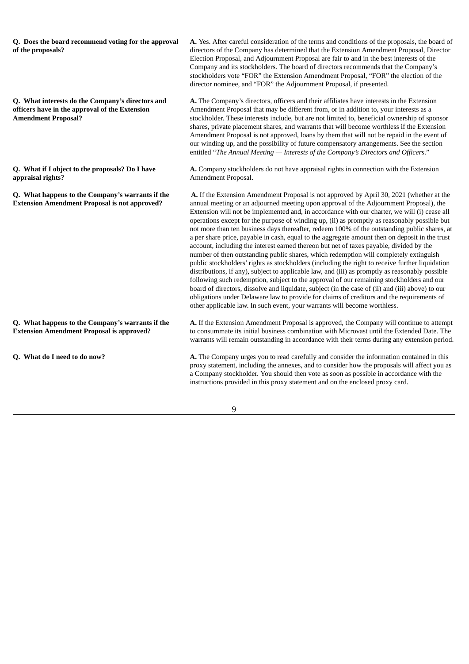| Q. Does the board recommend voting for the approval<br>of the proposals?                                                         | A. Yes. After careful consideration of the terms and conditions of the proposals, the board of<br>directors of the Company has determined that the Extension Amendment Proposal, Director<br>Election Proposal, and Adjournment Proposal are fair to and in the best interests of the<br>Company and its stockholders. The board of directors recommends that the Company's<br>stockholders vote "FOR" the Extension Amendment Proposal, "FOR" the election of the<br>director nominee, and "FOR" the Adjournment Proposal, if presented.                                                                                                                                                                                                                                                                                                                                                                                                                                                                                                                                                                                                                                                                                                                                                                                                                |  |  |  |
|----------------------------------------------------------------------------------------------------------------------------------|----------------------------------------------------------------------------------------------------------------------------------------------------------------------------------------------------------------------------------------------------------------------------------------------------------------------------------------------------------------------------------------------------------------------------------------------------------------------------------------------------------------------------------------------------------------------------------------------------------------------------------------------------------------------------------------------------------------------------------------------------------------------------------------------------------------------------------------------------------------------------------------------------------------------------------------------------------------------------------------------------------------------------------------------------------------------------------------------------------------------------------------------------------------------------------------------------------------------------------------------------------------------------------------------------------------------------------------------------------|--|--|--|
| Q. What interests do the Company's directors and<br>officers have in the approval of the Extension<br><b>Amendment Proposal?</b> | A. The Company's directors, officers and their affiliates have interests in the Extension<br>Amendment Proposal that may be different from, or in addition to, your interests as a<br>stockholder. These interests include, but are not limited to, beneficial ownership of sponsor<br>shares, private placement shares, and warrants that will become worthless if the Extension<br>Amendment Proposal is not approved, loans by them that will not be repaid in the event of<br>our winding up, and the possibility of future compensatory arrangements. See the section<br>entitled "The Annual Meeting - Interests of the Company's Directors and Officers."                                                                                                                                                                                                                                                                                                                                                                                                                                                                                                                                                                                                                                                                                         |  |  |  |
| Q. What if I object to the proposals? Do I have<br>appraisal rights?                                                             | A. Company stockholders do not have appraisal rights in connection with the Extension<br>Amendment Proposal.                                                                                                                                                                                                                                                                                                                                                                                                                                                                                                                                                                                                                                                                                                                                                                                                                                                                                                                                                                                                                                                                                                                                                                                                                                             |  |  |  |
| Q. What happens to the Company's warrants if the<br><b>Extension Amendment Proposal is not approved?</b>                         | A. If the Extension Amendment Proposal is not approved by April 30, 2021 (whether at the<br>annual meeting or an adjourned meeting upon approval of the Adjournment Proposal), the<br>Extension will not be implemented and, in accordance with our charter, we will (i) cease all<br>operations except for the purpose of winding up, (ii) as promptly as reasonably possible but<br>not more than ten business days thereafter, redeem 100% of the outstanding public shares, at<br>a per share price, payable in cash, equal to the aggregate amount then on deposit in the trust<br>account, including the interest earned thereon but net of taxes payable, divided by the<br>number of then outstanding public shares, which redemption will completely extinguish<br>public stockholders' rights as stockholders (including the right to receive further liquidation<br>distributions, if any), subject to applicable law, and (iii) as promptly as reasonably possible<br>following such redemption, subject to the approval of our remaining stockholders and our<br>board of directors, dissolve and liquidate, subject (in the case of (ii) and (iii) above) to our<br>obligations under Delaware law to provide for claims of creditors and the requirements of<br>other applicable law. In such event, your warrants will become worthless. |  |  |  |
| Q. What happens to the Company's warrants if the<br><b>Extension Amendment Proposal is approved?</b>                             | A. If the Extension Amendment Proposal is approved, the Company will continue to attempt<br>to consummate its initial business combination with Microvast until the Extended Date. The<br>warrants will remain outstanding in accordance with their terms during any extension period.                                                                                                                                                                                                                                                                                                                                                                                                                                                                                                                                                                                                                                                                                                                                                                                                                                                                                                                                                                                                                                                                   |  |  |  |
| Q. What do I need to do now?                                                                                                     | A. The Company urges you to read carefully and consider the information contained in this<br>proxy statement, including the annexes, and to consider how the proposals will affect you as<br>a Company stockholder. You should then vote as soon as possible in accordance with the<br>instructions provided in this proxy statement and on the enclosed proxy card.                                                                                                                                                                                                                                                                                                                                                                                                                                                                                                                                                                                                                                                                                                                                                                                                                                                                                                                                                                                     |  |  |  |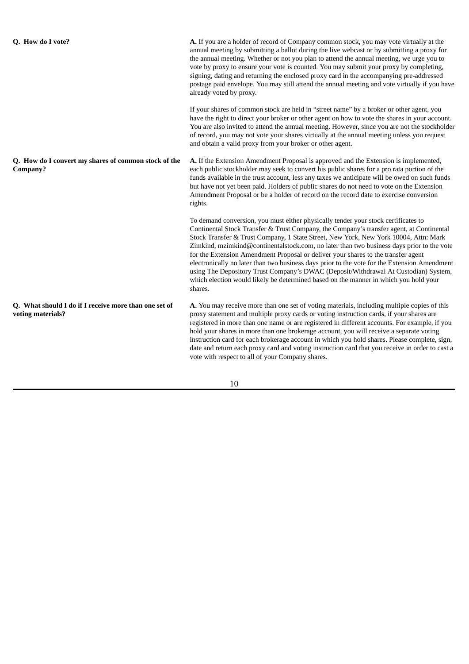**Company?**

**Q. How do I convert my shares of common stock of the**

**Q. How do I vote? A.** If you are a holder of record of Company common stock, you may vote virtually at the annual meeting by submitting a ballot during the live webcast or by submitting a proxy for the annual meeting. Whether or not you plan to attend the annual meeting, we urge you to vote by proxy to ensure your vote is counted. You may submit your proxy by completing, signing, dating and returning the enclosed proxy card in the accompanying pre-addressed postage paid envelope. You may still attend the annual meeting and vote virtually if you have already voted by proxy.

> If your shares of common stock are held in "street name" by a broker or other agent, you have the right to direct your broker or other agent on how to vote the shares in your account. You are also invited to attend the annual meeting. However, since you are not the stockholder of record, you may not vote your shares virtually at the annual meeting unless you request and obtain a valid proxy from your broker or other agent.

**A.** If the Extension Amendment Proposal is approved and the Extension is implemented, each public stockholder may seek to convert his public shares for a pro rata portion of the funds available in the trust account, less any taxes we anticipate will be owed on such funds but have not yet been paid. Holders of public shares do not need to vote on the Extension Amendment Proposal or be a holder of record on the record date to exercise conversion rights.

To demand conversion, you must either physically tender your stock certificates to Continental Stock Transfer & Trust Company, the Company's transfer agent, at Continental Stock Transfer & Trust Company, 1 State Street, New York, New York 10004, Attn: Mark Zimkind, mzimkind@continentalstock.com, no later than two business days prior to the vote for the Extension Amendment Proposal or deliver your shares to the transfer agent electronically no later than two business days prior to the vote for the Extension Amendment using The Depository Trust Company's DWAC (Deposit/Withdrawal At Custodian) System, which election would likely be determined based on the manner in which you hold your shares.

**Q. What should I do if I receive more than one set of voting materials? A.** You may receive more than one set of voting materials, including multiple copies of this proxy statement and multiple proxy cards or voting instruction cards, if your shares are registered in more than one name or are registered in different accounts. For example, if you hold your shares in more than one brokerage account, you will receive a separate voting instruction card for each brokerage account in which you hold shares. Please complete, sign, date and return each proxy card and voting instruction card that you receive in order to cast a vote with respect to all of your Company shares.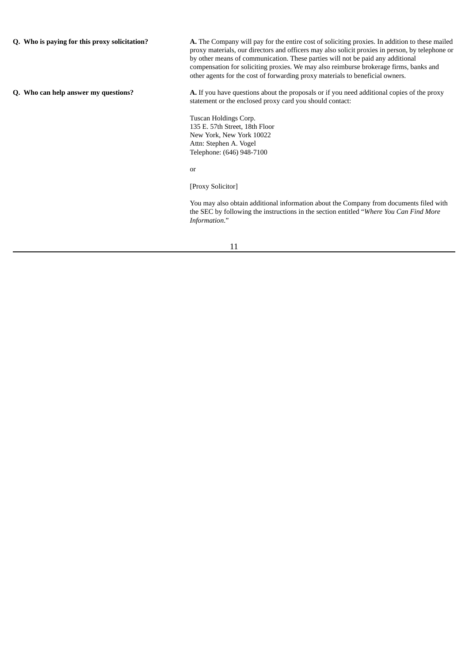**Q. Who is paying for this proxy solicitation? A.** The Company will pay for the entire cost of soliciting proxies. In addition to these mailed proxy materials, our directors and officers may also solicit proxies in person, by telephone or by other means of communication. These parties will not be paid any additional compensation for soliciting proxies. We may also reimburse brokerage firms, banks and other agents for the cost of forwarding proxy materials to beneficial owners. **Q. Who can help answer my questions? A.** If you have questions about the proposals or if you need additional copies of the proxy statement or the enclosed proxy card you should contact: Tuscan Holdings Corp. 135 E. 57th Street, 18th Floor New York, New York 10022 Attn: Stephen A. Vogel Telephone: (646) 948-7100

or

[Proxy Solicitor]

You may also obtain additional information about the Company from documents filed with the SEC by following the instructions in the section entitled "*Where You Can Find More Information*."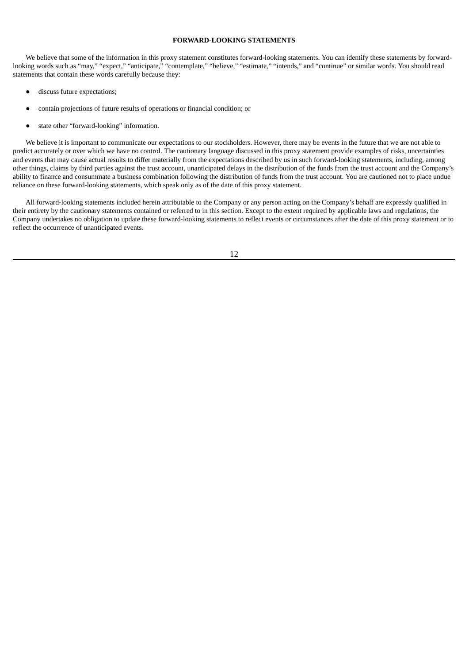# **FORWARD-LOOKING STATEMENTS**

We believe that some of the information in this proxy statement constitutes forward-looking statements. You can identify these statements by forwardlooking words such as "may," "expect," "anticipate," "contemplate," "believe," "estimate," "intends," and "continue" or similar words. You should read statements that contain these words carefully because they:

- discuss future expectations;
- contain projections of future results of operations or financial condition; or
- state other "forward-looking" information.

We believe it is important to communicate our expectations to our stockholders. However, there may be events in the future that we are not able to predict accurately or over which we have no control. The cautionary language discussed in this proxy statement provide examples of risks, uncertainties and events that may cause actual results to differ materially from the expectations described by us in such forward-looking statements, including, among other things, claims by third parties against the trust account, unanticipated delays in the distribution of the funds from the trust account and the Company's ability to finance and consummate a business combination following the distribution of funds from the trust account. You are cautioned not to place undue reliance on these forward-looking statements, which speak only as of the date of this proxy statement.

All forward-looking statements included herein attributable to the Company or any person acting on the Company's behalf are expressly qualified in their entirety by the cautionary statements contained or referred to in this section. Except to the extent required by applicable laws and regulations, the Company undertakes no obligation to update these forward-looking statements to reflect events or circumstances after the date of this proxy statement or to reflect the occurrence of unanticipated events.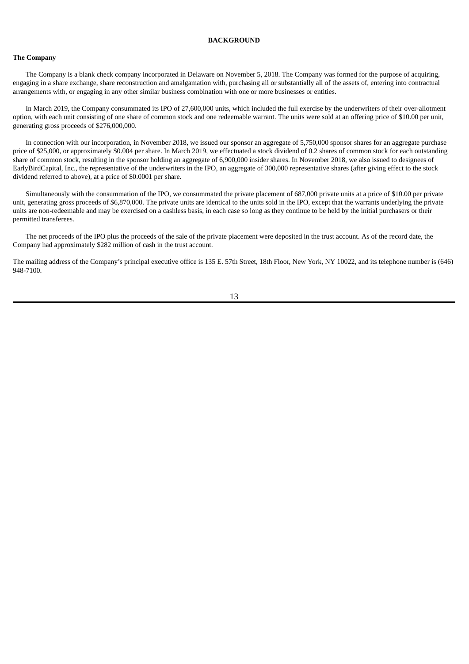# **BACKGROUND**

# **The Company**

The Company is a blank check company incorporated in Delaware on November 5, 2018. The Company was formed for the purpose of acquiring, engaging in a share exchange, share reconstruction and amalgamation with, purchasing all or substantially all of the assets of, entering into contractual arrangements with, or engaging in any other similar business combination with one or more businesses or entities.

In March 2019, the Company consummated its IPO of 27,600,000 units, which included the full exercise by the underwriters of their over-allotment option, with each unit consisting of one share of common stock and one redeemable warrant. The units were sold at an offering price of \$10.00 per unit, generating gross proceeds of \$276,000,000.

In connection with our incorporation, in November 2018, we issued our sponsor an aggregate of 5,750,000 sponsor shares for an aggregate purchase price of \$25,000, or approximately \$0.004 per share. In March 2019, we effectuated a stock dividend of 0.2 shares of common stock for each outstanding share of common stock, resulting in the sponsor holding an aggregate of 6,900,000 insider shares. In November 2018, we also issued to designees of EarlyBirdCapital, Inc., the representative of the underwriters in the IPO, an aggregate of 300,000 representative shares (after giving effect to the stock dividend referred to above), at a price of \$0.0001 per share.

Simultaneously with the consummation of the IPO, we consummated the private placement of 687,000 private units at a price of \$10.00 per private unit, generating gross proceeds of \$6,870,000. The private units are identical to the units sold in the IPO, except that the warrants underlying the private units are non-redeemable and may be exercised on a cashless basis, in each case so long as they continue to be held by the initial purchasers or their permitted transferees.

The net proceeds of the IPO plus the proceeds of the sale of the private placement were deposited in the trust account. As of the record date, the Company had approximately \$282 million of cash in the trust account.

The mailing address of the Company's principal executive office is 135 E. 57th Street, 18th Floor, New York, NY 10022, and its telephone number is (646) 948-7100.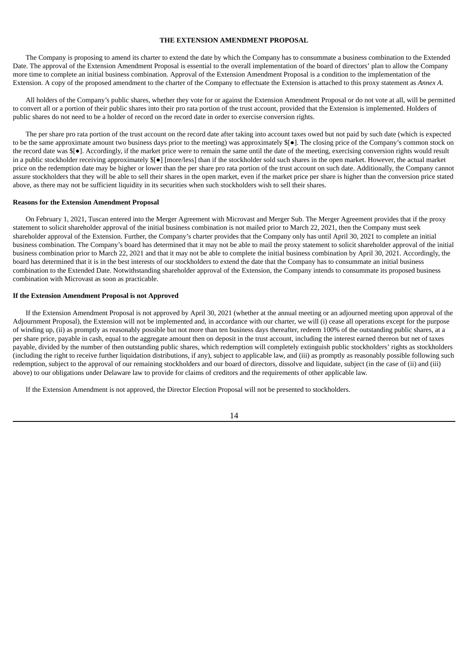# **THE EXTENSION AMENDMENT PROPOSAL**

The Company is proposing to amend its charter to extend the date by which the Company has to consummate a business combination to the Extended Date. The approval of the Extension Amendment Proposal is essential to the overall implementation of the board of directors' plan to allow the Company more time to complete an initial business combination. Approval of the Extension Amendment Proposal is a condition to the implementation of the Extension. A copy of the proposed amendment to the charter of the Company to effectuate the Extension is attached to this proxy statement as *Annex A*.

All holders of the Company's public shares, whether they vote for or against the Extension Amendment Proposal or do not vote at all, will be permitted to convert all or a portion of their public shares into their pro rata portion of the trust account, provided that the Extension is implemented. Holders of public shares do not need to be a holder of record on the record date in order to exercise conversion rights.

The per share pro rata portion of the trust account on the record date after taking into account taxes owed but not paid by such date (which is expected to be the same approximate amount two business days prior to the meeting) was approximately \$[●]. The closing price of the Company's common stock on the record date was \$[●]. Accordingly, if the market price were to remain the same until the date of the meeting, exercising conversion rights would result in a public stockholder receiving approximately \$[●] [more/less] than if the stockholder sold such shares in the open market. However, the actual market price on the redemption date may be higher or lower than the per share pro rata portion of the trust account on such date. Additionally, the Company cannot assure stockholders that they will be able to sell their shares in the open market, even if the market price per share is higher than the conversion price stated above, as there may not be sufficient liquidity in its securities when such stockholders wish to sell their shares.

#### **Reasons for the Extension Amendment Proposal**

On February 1, 2021, Tuscan entered into the Merger Agreement with Microvast and Merger Sub. The Merger Agreement provides that if the proxy statement to solicit shareholder approval of the initial business combination is not mailed prior to March 22, 2021, then the Company must seek shareholder approval of the Extension. Further, the Company's charter provides that the Company only has until April 30, 2021 to complete an initial business combination. The Company's board has determined that it may not be able to mail the proxy statement to solicit shareholder approval of the initial business combination prior to March 22, 2021 and that it may not be able to complete the initial business combination by April 30, 2021. Accordingly, the board has determined that it is in the best interests of our stockholders to extend the date that the Company has to consummate an initial business combination to the Extended Date. Notwithstanding shareholder approval of the Extension, the Company intends to consummate its proposed business combination with Microvast as soon as practicable.

## **If the Extension Amendment Proposal is not Approved**

If the Extension Amendment Proposal is not approved by April 30, 2021 (whether at the annual meeting or an adjourned meeting upon approval of the Adjournment Proposal), the Extension will not be implemented and, in accordance with our charter, we will (i) cease all operations except for the purpose of winding up, (ii) as promptly as reasonably possible but not more than ten business days thereafter, redeem 100% of the outstanding public shares, at a per share price, payable in cash, equal to the aggregate amount then on deposit in the trust account, including the interest earned thereon but net of taxes payable, divided by the number of then outstanding public shares, which redemption will completely extinguish public stockholders' rights as stockholders (including the right to receive further liquidation distributions, if any), subject to applicable law, and (iii) as promptly as reasonably possible following such redemption, subject to the approval of our remaining stockholders and our board of directors, dissolve and liquidate, subject (in the case of (ii) and (iii) above) to our obligations under Delaware law to provide for claims of creditors and the requirements of other applicable law.

If the Extension Amendment is not approved, the Director Election Proposal will not be presented to stockholders.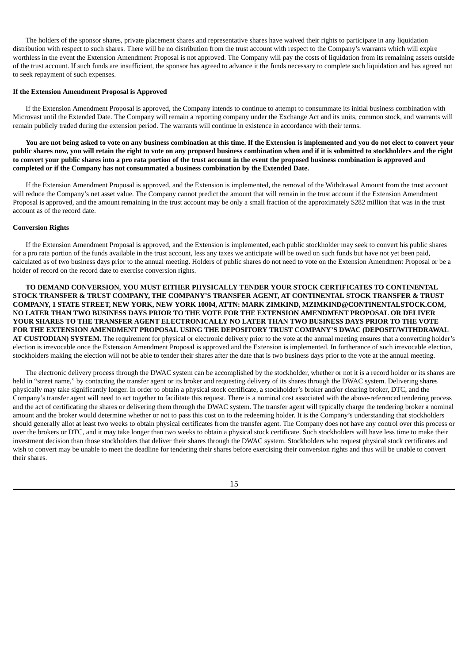The holders of the sponsor shares, private placement shares and representative shares have waived their rights to participate in any liquidation distribution with respect to such shares. There will be no distribution from the trust account with respect to the Company's warrants which will expire worthless in the event the Extension Amendment Proposal is not approved. The Company will pay the costs of liquidation from its remaining assets outside of the trust account. If such funds are insufficient, the sponsor has agreed to advance it the funds necessary to complete such liquidation and has agreed not to seek repayment of such expenses.

#### **If the Extension Amendment Proposal is Approved**

If the Extension Amendment Proposal is approved, the Company intends to continue to attempt to consummate its initial business combination with Microvast until the Extended Date. The Company will remain a reporting company under the Exchange Act and its units, common stock, and warrants will remain publicly traded during the extension period. The warrants will continue in existence in accordance with their terms.

You are not being asked to vote on any business combination at this time. If the Extension is implemented and you do not elect to convert your public shares now, you will retain the right to vote on any proposed business combination when and if it is submitted to stockholders and the right to convert your public shares into a pro rata portion of the trust account in the event the proposed business combination is approved and **completed or if the Company has not consummated a business combination by the Extended Date.**

If the Extension Amendment Proposal is approved, and the Extension is implemented, the removal of the Withdrawal Amount from the trust account will reduce the Company's net asset value. The Company cannot predict the amount that will remain in the trust account if the Extension Amendment Proposal is approved, and the amount remaining in the trust account may be only a small fraction of the approximately \$282 million that was in the trust account as of the record date.

#### **Conversion Rights**

If the Extension Amendment Proposal is approved, and the Extension is implemented, each public stockholder may seek to convert his public shares for a pro rata portion of the funds available in the trust account, less any taxes we anticipate will be owed on such funds but have not yet been paid, calculated as of two business days prior to the annual meeting. Holders of public shares do not need to vote on the Extension Amendment Proposal or be a holder of record on the record date to exercise conversion rights.

**TO DEMAND CONVERSION, YOU MUST EITHER PHYSICALLY TENDER YOUR STOCK CERTIFICATES TO CONTINENTAL STOCK TRANSFER & TRUST COMPANY, THE COMPANY'S TRANSFER AGENT, AT CONTINENTAL STOCK TRANSFER & TRUST COMPANY, 1 STATE STREET, NEW YORK, NEW YORK 10004, ATTN: MARK ZIMKIND, MZIMKIND@CONTINENTALSTOCK.COM, NO LATER THAN TWO BUSINESS DAYS PRIOR TO THE VOTE FOR THE EXTENSION AMENDMENT PROPOSAL OR DELIVER YOUR SHARES TO THE TRANSFER AGENT ELECTRONICALLY NO LATER THAN TWO BUSINESS DAYS PRIOR TO THE VOTE FOR THE EXTENSION AMENDMENT PROPOSAL USING THE DEPOSITORY TRUST COMPANY'S DWAC (DEPOSIT/WITHDRAWAL AT CUSTODIAN) SYSTEM.** The requirement for physical or electronic delivery prior to the vote at the annual meeting ensures that a converting holder's election is irrevocable once the Extension Amendment Proposal is approved and the Extension is implemented. In furtherance of such irrevocable election, stockholders making the election will not be able to tender their shares after the date that is two business days prior to the vote at the annual meeting.

The electronic delivery process through the DWAC system can be accomplished by the stockholder, whether or not it is a record holder or its shares are held in "street name," by contacting the transfer agent or its broker and requesting delivery of its shares through the DWAC system. Delivering shares physically may take significantly longer. In order to obtain a physical stock certificate, a stockholder's broker and/or clearing broker, DTC, and the Company's transfer agent will need to act together to facilitate this request. There is a nominal cost associated with the above-referenced tendering process and the act of certificating the shares or delivering them through the DWAC system. The transfer agent will typically charge the tendering broker a nominal amount and the broker would determine whether or not to pass this cost on to the redeeming holder. It is the Company's understanding that stockholders should generally allot at least two weeks to obtain physical certificates from the transfer agent. The Company does not have any control over this process or over the brokers or DTC, and it may take longer than two weeks to obtain a physical stock certificate. Such stockholders will have less time to make their investment decision than those stockholders that deliver their shares through the DWAC system. Stockholders who request physical stock certificates and wish to convert may be unable to meet the deadline for tendering their shares before exercising their conversion rights and thus will be unable to convert their shares.

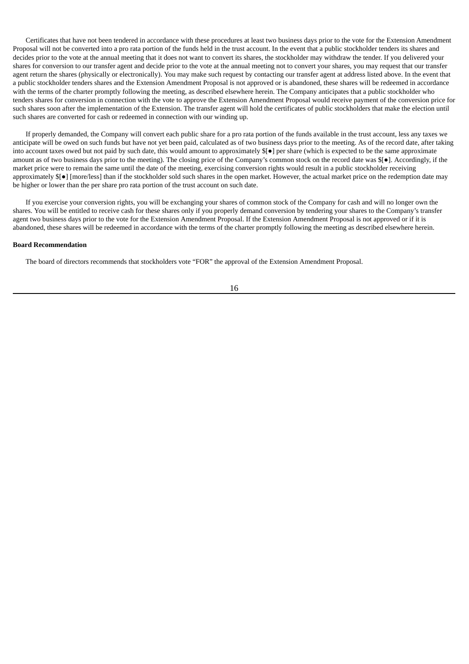Certificates that have not been tendered in accordance with these procedures at least two business days prior to the vote for the Extension Amendment Proposal will not be converted into a pro rata portion of the funds held in the trust account. In the event that a public stockholder tenders its shares and decides prior to the vote at the annual meeting that it does not want to convert its shares, the stockholder may withdraw the tender. If you delivered your shares for conversion to our transfer agent and decide prior to the vote at the annual meeting not to convert your shares, you may request that our transfer agent return the shares (physically or electronically). You may make such request by contacting our transfer agent at address listed above. In the event that a public stockholder tenders shares and the Extension Amendment Proposal is not approved or is abandoned, these shares will be redeemed in accordance with the terms of the charter promptly following the meeting, as described elsewhere herein. The Company anticipates that a public stockholder who tenders shares for conversion in connection with the vote to approve the Extension Amendment Proposal would receive payment of the conversion price for such shares soon after the implementation of the Extension. The transfer agent will hold the certificates of public stockholders that make the election until such shares are converted for cash or redeemed in connection with our winding up.

If properly demanded, the Company will convert each public share for a pro rata portion of the funds available in the trust account, less any taxes we anticipate will be owed on such funds but have not yet been paid, calculated as of two business days prior to the meeting. As of the record date, after taking into account taxes owed but not paid by such date, this would amount to approximately \$[●] per share (which is expected to be the same approximate amount as of two business days prior to the meeting). The closing price of the Company's common stock on the record date was \$[●]. Accordingly, if the market price were to remain the same until the date of the meeting, exercising conversion rights would result in a public stockholder receiving approximately \$[●] [more/less] than if the stockholder sold such shares in the open market. However, the actual market price on the redemption date may be higher or lower than the per share pro rata portion of the trust account on such date.

If you exercise your conversion rights, you will be exchanging your shares of common stock of the Company for cash and will no longer own the shares. You will be entitled to receive cash for these shares only if you properly demand conversion by tendering your shares to the Company's transfer agent two business days prior to the vote for the Extension Amendment Proposal. If the Extension Amendment Proposal is not approved or if it is abandoned, these shares will be redeemed in accordance with the terms of the charter promptly following the meeting as described elsewhere herein.

#### **Board Recommendation**

The board of directors recommends that stockholders vote "FOR" the approval of the Extension Amendment Proposal.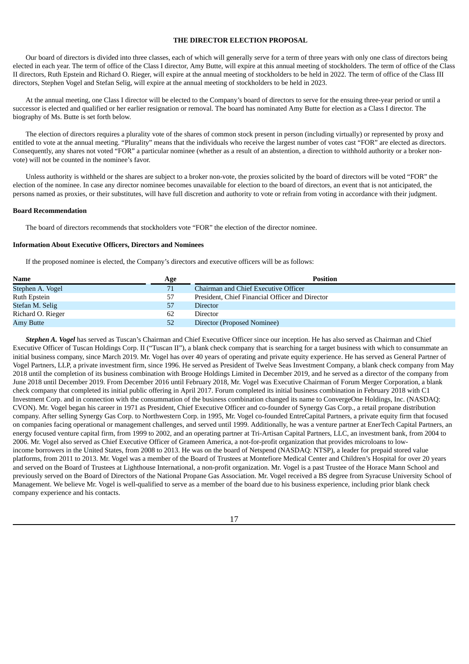# **THE DIRECTOR ELECTION PROPOSAL**

Our board of directors is divided into three classes, each of which will generally serve for a term of three years with only one class of directors being elected in each year. The term of office of the Class I director, Amy Butte, will expire at this annual meeting of stockholders. The term of office of the Class II directors, Ruth Epstein and Richard O. Rieger, will expire at the annual meeting of stockholders to be held in 2022. The term of office of the Class III directors, Stephen Vogel and Stefan Selig, will expire at the annual meeting of stockholders to be held in 2023.

At the annual meeting, one Class I director will be elected to the Company's board of directors to serve for the ensuing three-year period or until a successor is elected and qualified or her earlier resignation or removal. The board has nominated Amy Butte for election as a Class I director. The biography of Ms. Butte is set forth below.

The election of directors requires a plurality vote of the shares of common stock present in person (including virtually) or represented by proxy and entitled to vote at the annual meeting. "Plurality" means that the individuals who receive the largest number of votes cast "FOR" are elected as directors. Consequently, any shares not voted "FOR" a particular nominee (whether as a result of an abstention, a direction to withhold authority or a broker nonvote) will not be counted in the nominee's favor.

Unless authority is withheld or the shares are subject to a broker non-vote, the proxies solicited by the board of directors will be voted "FOR" the election of the nominee. In case any director nominee becomes unavailable for election to the board of directors, an event that is not anticipated, the persons named as proxies, or their substitutes, will have full discretion and authority to vote or refrain from voting in accordance with their judgment.

#### **Board Recommendation**

The board of directors recommends that stockholders vote "FOR" the election of the director nominee.

# **Information About Executive Officers, Directors and Nominees**

If the proposed nominee is elected, the Company's directors and executive officers will be as follows:

| <b>Name</b>       | Age | <b>Position</b>                                 |
|-------------------|-----|-------------------------------------------------|
| Stephen A. Vogel  | 71  | Chairman and Chief Executive Officer            |
| Ruth Epstein      | 57  | President, Chief Financial Officer and Director |
| Stefan M. Selig   | 57  | <b>Director</b>                                 |
| Richard O. Rieger | 62  | Director                                        |
| Amy Butte         | 52  | Director (Proposed Nominee)                     |

*Stephen A. Vogel* has served as Tuscan's Chairman and Chief Executive Officer since our inception. He has also served as Chairman and Chief Executive Officer of Tuscan Holdings Corp. II ("Tuscan II"), a blank check company that is searching for a target business with which to consummate an initial business company, since March 2019. Mr. Vogel has over 40 years of operating and private equity experience. He has served as General Partner of Vogel Partners, LLP, a private investment firm, since 1996. He served as President of Twelve Seas Investment Company, a blank check company from May 2018 until the completion of its business combination with Brooge Holdings Limited in December 2019, and he served as a director of the company from June 2018 until December 2019. From December 2016 until February 2018, Mr. Vogel was Executive Chairman of Forum Merger Corporation, a blank check company that completed its initial public offering in April 2017. Forum completed its initial business combination in February 2018 with C1 Investment Corp. and in connection with the consummation of the business combination changed its name to ConvergeOne Holdings, Inc. (NASDAQ: CVON). Mr. Vogel began his career in 1971 as President, Chief Executive Officer and co-founder of Synergy Gas Corp., a retail propane distribution company. After selling Synergy Gas Corp. to Northwestern Corp. in 1995, Mr. Vogel co-founded EntreCapital Partners, a private equity firm that focused on companies facing operational or management challenges, and served until 1999. Additionally, he was a venture partner at EnerTech Capital Partners, an energy focused venture capital firm, from 1999 to 2002, and an operating partner at Tri-Artisan Capital Partners, LLC, an investment bank, from 2004 to 2006. Mr. Vogel also served as Chief Executive Officer of Grameen America, a not-for-profit organization that provides microloans to lowincome borrowers in the United States, from 2008 to 2013. He was on the board of Netspend (NASDAQ: NTSP), a leader for prepaid stored value platforms, from 2011 to 2013. Mr. Vogel was a member of the Board of Trustees at Montefiore Medical Center and Children's Hospital for over 20 years and served on the Board of Trustees at Lighthouse International, a non-profit organization. Mr. Vogel is a past Trustee of the Horace Mann School and previously served on the Board of Directors of the National Propane Gas Association. Mr. Vogel received a BS degree from Syracuse University School of Management. We believe Mr. Vogel is well-qualified to serve as a member of the board due to his business experience, including prior blank check company experience and his contacts.

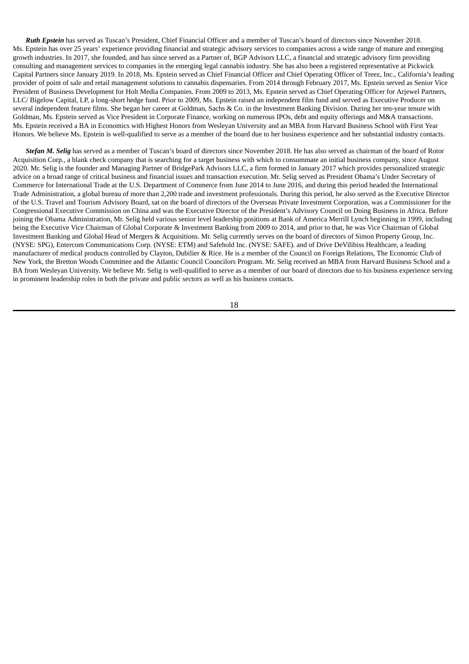*Ruth Epstein* has served as Tuscan's President, Chief Financial Officer and a member of Tuscan's board of directors since November 2018. Ms. Epstein has over 25 years' experience providing financial and strategic advisory services to companies across a wide range of mature and emerging growth industries. In 2017, she founded, and has since served as a Partner of, BGP Advisors LLC, a financial and strategic advisory firm providing consulting and management services to companies in the emerging legal cannabis industry. She has also been a registered representative at Pickwick Capital Partners since January 2019. In 2018, Ms. Epstein served as Chief Financial Officer and Chief Operating Officer of Treez, Inc., California's leading provider of point of sale and retail management solutions to cannabis dispensaries. From 2014 through February 2017, Ms. Epstein served as Senior Vice President of Business Development for Holt Media Companies. From 2009 to 2013, Ms. Epstein served as Chief Operating Officer for Arjewel Partners, LLC/ Bigelow Capital, LP, a long-short hedge fund. Prior to 2009, Ms. Epstein raised an independent film fund and served as Executive Producer on several independent feature films. She began her career at Goldman, Sachs & Co. in the Investment Banking Division. During her ten-year tenure with Goldman, Ms. Epstein served as Vice President in Corporate Finance, working on numerous IPOs, debt and equity offerings and M&A transactions. Ms. Epstein received a BA in Economics with Highest Honors from Wesleyan University and an MBA from Harvard Business School with First Year Honors. We believe Ms. Epstein is well-qualified to serve as a member of the board due to her business experience and her substantial industry contacts.

*Stefan M. Selig* has served as a member of Tuscan's board of directors since November 2018. He has also served as chairman of the board of Rotor Acquisition Corp., a blank check company that is searching for a target business with which to consummate an initial business company, since August 2020. Mr. Selig is the founder and Managing Partner of BridgePark Advisors LLC, a firm formed in January 2017 which provides personalized strategic advice on a broad range of critical business and financial issues and transaction execution. Mr. Selig served as President Obama's Under Secretary of Commerce for International Trade at the U.S. Department of Commerce from June 2014 to June 2016, and during this period headed the International Trade Administration, a global bureau of more than 2,200 trade and investment professionals. During this period, he also served as the Executive Director of the U.S. Travel and Tourism Advisory Board, sat on the board of directors of the Overseas Private Investment Corporation, was a Commissioner for the Congressional Executive Commission on China and was the Executive Director of the President's Advisory Council on Doing Business in Africa. Before joining the Obama Administration, Mr. Selig held various senior level leadership positions at Bank of America Merrill Lynch beginning in 1999, including being the Executive Vice Chairman of Global Corporate & Investment Banking from 2009 to 2014, and prior to that, he was Vice Chairman of Global Investment Banking and Global Head of Mergers & Acquisitions. Mr. Selig currently serves on the board of directors of Simon Property Group, Inc. (NYSE: SPG), Entercom Communications Corp. (NYSE: ETM) and Safehold Inc. (NYSE: SAFE). and of Drive DeVilibiss Healthcare, a leading manufacturer of medical products controlled by Clayton, Dubilier & Rice. He is a member of the Council on Foreign Relations, The Economic Club of New York, the Bretton Woods Committee and the Atlantic Council Councilors Program. Mr. Selig received an MBA from Harvard Business School and a BA from Wesleyan University. We believe Mr. Selig is well-qualified to serve as a member of our board of directors due to his business experience serving in prominent leadership roles in both the private and public sectors as well as his business contacts.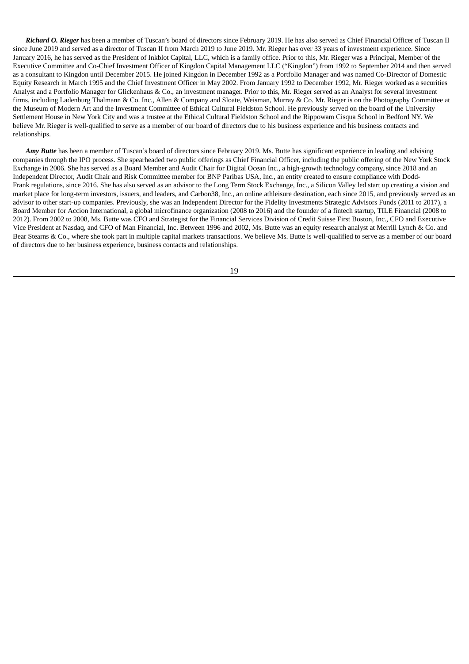*Richard O. Rieger* has been a member of Tuscan's board of directors since February 2019. He has also served as Chief Financial Officer of Tuscan II since June 2019 and served as a director of Tuscan II from March 2019 to June 2019. Mr. Rieger has over 33 years of investment experience. Since January 2016, he has served as the President of Inkblot Capital, LLC, which is a family office. Prior to this, Mr. Rieger was a Principal, Member of the Executive Committee and Co-Chief Investment Officer of Kingdon Capital Management LLC ("Kingdon") from 1992 to September 2014 and then served as a consultant to Kingdon until December 2015. He joined Kingdon in December 1992 as a Portfolio Manager and was named Co-Director of Domestic Equity Research in March 1995 and the Chief Investment Officer in May 2002. From January 1992 to December 1992, Mr. Rieger worked as a securities Analyst and a Portfolio Manager for Glickenhaus & Co., an investment manager. Prior to this, Mr. Rieger served as an Analyst for several investment firms, including Ladenburg Thalmann & Co. Inc., Allen & Company and Sloate, Weisman, Murray & Co. Mr. Rieger is on the Photography Committee at the Museum of Modern Art and the Investment Committee of Ethical Cultural Fieldston School. He previously served on the board of the University Settlement House in New York City and was a trustee at the Ethical Cultural Fieldston School and the Rippowam Cisqua School in Bedford NY. We believe Mr. Rieger is well-qualified to serve as a member of our board of directors due to his business experience and his business contacts and relationships.

*Amy Butte* has been a member of Tuscan's board of directors since February 2019. Ms. Butte has significant experience in leading and advising companies through the IPO process. She spearheaded two public offerings as Chief Financial Officer, including the public offering of the New York Stock Exchange in 2006. She has served as a Board Member and Audit Chair for Digital Ocean Inc., a high-growth technology company, since 2018 and an Independent Director, Audit Chair and Risk Committee member for BNP Paribas USA, Inc., an entity created to ensure compliance with Dodd-Frank regulations, since 2016. She has also served as an advisor to the Long Term Stock Exchange, Inc., a Silicon Valley led start up creating a vision and market place for long-term investors, issuers, and leaders, and Carbon38, Inc., an online athleisure destination, each since 2015, and previously served as an advisor to other start-up companies. Previously, she was an Independent Director for the Fidelity Investments Strategic Advisors Funds (2011 to 2017), a Board Member for Accion International, a global microfinance organization (2008 to 2016) and the founder of a fintech startup, TILE Financial (2008 to 2012). From 2002 to 2008, Ms. Butte was CFO and Strategist for the Financial Services Division of Credit Suisse First Boston, Inc., CFO and Executive Vice President at Nasdaq, and CFO of Man Financial, Inc. Between 1996 and 2002, Ms. Butte was an equity research analyst at Merrill Lynch & Co. and Bear Stearns & Co., where she took part in multiple capital markets transactions. We believe Ms. Butte is well-qualified to serve as a member of our board of directors due to her business experience, business contacts and relationships.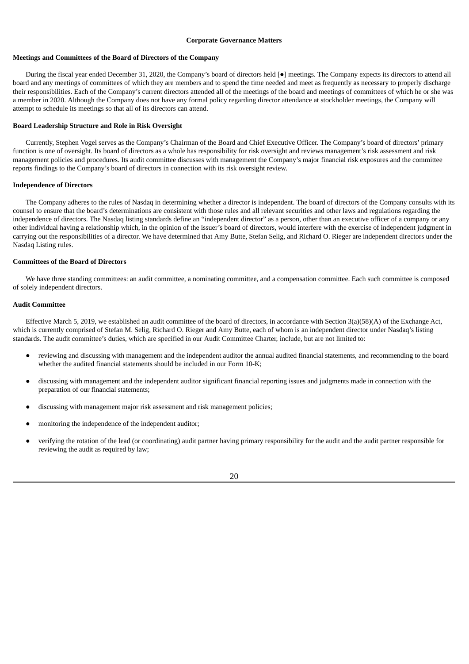#### **Corporate Governance Matters**

#### **Meetings and Committees of the Board of Directors of the Company**

During the fiscal year ended December 31, 2020, the Company's board of directors held [●] meetings. The Company expects its directors to attend all board and any meetings of committees of which they are members and to spend the time needed and meet as frequently as necessary to properly discharge their responsibilities. Each of the Company's current directors attended all of the meetings of the board and meetings of committees of which he or she was a member in 2020. Although the Company does not have any formal policy regarding director attendance at stockholder meetings, the Company will attempt to schedule its meetings so that all of its directors can attend.

#### **Board Leadership Structure and Role in Risk Oversight**

Currently, Stephen Vogel serves as the Company's Chairman of the Board and Chief Executive Officer. The Company's board of directors' primary function is one of oversight. Its board of directors as a whole has responsibility for risk oversight and reviews management's risk assessment and risk management policies and procedures. Its audit committee discusses with management the Company's major financial risk exposures and the committee reports findings to the Company's board of directors in connection with its risk oversight review.

## **Independence of Directors**

The Company adheres to the rules of Nasdaq in determining whether a director is independent. The board of directors of the Company consults with its counsel to ensure that the board's determinations are consistent with those rules and all relevant securities and other laws and regulations regarding the independence of directors. The Nasdaq listing standards define an "independent director" as a person, other than an executive officer of a company or any other individual having a relationship which, in the opinion of the issuer's board of directors, would interfere with the exercise of independent judgment in carrying out the responsibilities of a director. We have determined that Amy Butte, Stefan Selig, and Richard O. Rieger are independent directors under the Nasdaq Listing rules.

## **Committees of the Board of Directors**

We have three standing committees: an audit committee, a nominating committee, and a compensation committee. Each such committee is composed of solely independent directors.

#### **Audit Committee**

Effective March 5, 2019, we established an audit committee of the board of directors, in accordance with Section 3(a)(58)(A) of the Exchange Act, which is currently comprised of Stefan M. Selig, Richard O. Rieger and Amy Butte, each of whom is an independent director under Nasdaq's listing standards. The audit committee's duties, which are specified in our Audit Committee Charter, include, but are not limited to:

- reviewing and discussing with management and the independent auditor the annual audited financial statements, and recommending to the board whether the audited financial statements should be included in our Form 10-K;
- discussing with management and the independent auditor significant financial reporting issues and judgments made in connection with the preparation of our financial statements;
- discussing with management major risk assessment and risk management policies;
- monitoring the independence of the independent auditor;
- verifying the rotation of the lead (or coordinating) audit partner having primary responsibility for the audit and the audit partner responsible for reviewing the audit as required by law;

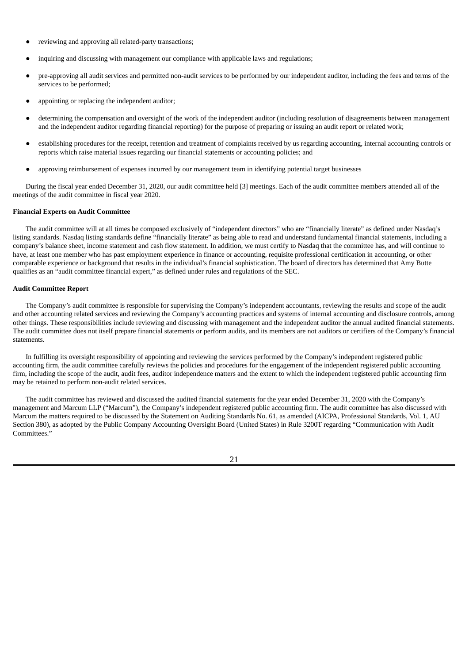- reviewing and approving all related-party transactions;
- inquiring and discussing with management our compliance with applicable laws and regulations;
- pre-approving all audit services and permitted non-audit services to be performed by our independent auditor, including the fees and terms of the services to be performed;
- appointing or replacing the independent auditor;
- determining the compensation and oversight of the work of the independent auditor (including resolution of disagreements between management and the independent auditor regarding financial reporting) for the purpose of preparing or issuing an audit report or related work;
- establishing procedures for the receipt, retention and treatment of complaints received by us regarding accounting, internal accounting controls or reports which raise material issues regarding our financial statements or accounting policies; and
- approving reimbursement of expenses incurred by our management team in identifying potential target businesses

During the fiscal year ended December 31, 2020, our audit committee held [3] meetings. Each of the audit committee members attended all of the meetings of the audit committee in fiscal year 2020.

#### **Financial Experts on Audit Committee**

The audit committee will at all times be composed exclusively of "independent directors" who are "financially literate" as defined under Nasdaq's listing standards. Nasdaq listing standards define "financially literate" as being able to read and understand fundamental financial statements, including a company's balance sheet, income statement and cash flow statement. In addition, we must certify to Nasdaq that the committee has, and will continue to have, at least one member who has past employment experience in finance or accounting, requisite professional certification in accounting, or other comparable experience or background that results in the individual's financial sophistication. The board of directors has determined that Amy Butte qualifies as an "audit committee financial expert," as defined under rules and regulations of the SEC.

## **Audit Committee Report**

The Company's audit committee is responsible for supervising the Company's independent accountants, reviewing the results and scope of the audit and other accounting related services and reviewing the Company's accounting practices and systems of internal accounting and disclosure controls, among other things. These responsibilities include reviewing and discussing with management and the independent auditor the annual audited financial statements. The audit committee does not itself prepare financial statements or perform audits, and its members are not auditors or certifiers of the Company's financial statements.

In fulfilling its oversight responsibility of appointing and reviewing the services performed by the Company's independent registered public accounting firm, the audit committee carefully reviews the policies and procedures for the engagement of the independent registered public accounting firm, including the scope of the audit, audit fees, auditor independence matters and the extent to which the independent registered public accounting firm may be retained to perform non-audit related services.

The audit committee has reviewed and discussed the audited financial statements for the year ended December 31, 2020 with the Company's management and Marcum LLP ("Marcum"), the Company's independent registered public accounting firm. The audit committee has also discussed with Marcum the matters required to be discussed by the Statement on Auditing Standards No. 61, as amended (AICPA, Professional Standards, Vol. 1, AU Section 380), as adopted by the Public Company Accounting Oversight Board (United States) in Rule 3200T regarding "Communication with Audit Committees."

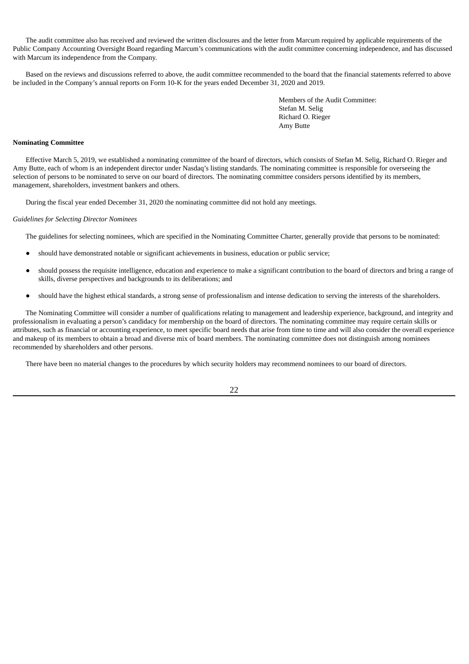The audit committee also has received and reviewed the written disclosures and the letter from Marcum required by applicable requirements of the Public Company Accounting Oversight Board regarding Marcum's communications with the audit committee concerning independence, and has discussed with Marcum its independence from the Company.

Based on the reviews and discussions referred to above, the audit committee recommended to the board that the financial statements referred to above be included in the Company's annual reports on Form 10-K for the years ended December 31, 2020 and 2019.

> Members of the Audit Committee: Stefan M. Selig Richard O. Rieger Amy Butte

# **Nominating Committee**

Effective March 5, 2019, we established a nominating committee of the board of directors, which consists of Stefan M. Selig, Richard O. Rieger and Amy Butte, each of whom is an independent director under Nasdaq's listing standards. The nominating committee is responsible for overseeing the selection of persons to be nominated to serve on our board of directors. The nominating committee considers persons identified by its members, management, shareholders, investment bankers and others.

During the fiscal year ended December 31, 2020 the nominating committee did not hold any meetings.

# *Guidelines for Selecting Director Nominees*

The guidelines for selecting nominees, which are specified in the Nominating Committee Charter, generally provide that persons to be nominated:

- should have demonstrated notable or significant achievements in business, education or public service;
- should possess the requisite intelligence, education and experience to make a significant contribution to the board of directors and bring a range of skills, diverse perspectives and backgrounds to its deliberations; and
- should have the highest ethical standards, a strong sense of professionalism and intense dedication to serving the interests of the shareholders.

The Nominating Committee will consider a number of qualifications relating to management and leadership experience, background, and integrity and professionalism in evaluating a person's candidacy for membership on the board of directors. The nominating committee may require certain skills or attributes, such as financial or accounting experience, to meet specific board needs that arise from time to time and will also consider the overall experience and makeup of its members to obtain a broad and diverse mix of board members. The nominating committee does not distinguish among nominees recommended by shareholders and other persons.

There have been no material changes to the procedures by which security holders may recommend nominees to our board of directors.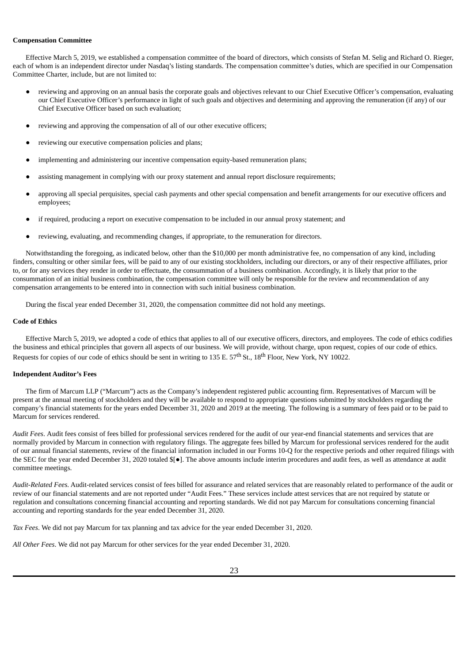## **Compensation Committee**

Effective March 5, 2019, we established a compensation committee of the board of directors, which consists of Stefan M. Selig and Richard O. Rieger, each of whom is an independent director under Nasdaq's listing standards. The compensation committee's duties, which are specified in our Compensation Committee Charter, include, but are not limited to:

- reviewing and approving on an annual basis the corporate goals and objectives relevant to our Chief Executive Officer's compensation, evaluating our Chief Executive Officer's performance in light of such goals and objectives and determining and approving the remuneration (if any) of our Chief Executive Officer based on such evaluation;
- reviewing and approving the compensation of all of our other executive officers;
- reviewing our executive compensation policies and plans;
- implementing and administering our incentive compensation equity-based remuneration plans;
- assisting management in complying with our proxy statement and annual report disclosure requirements;
- approving all special perquisites, special cash payments and other special compensation and benefit arrangements for our executive officers and employees;
- if required, producing a report on executive compensation to be included in our annual proxy statement; and
- reviewing, evaluating, and recommending changes, if appropriate, to the remuneration for directors.

Notwithstanding the foregoing, as indicated below, other than the \$10,000 per month administrative fee, no compensation of any kind, including finders, consulting or other similar fees, will be paid to any of our existing stockholders, including our directors, or any of their respective affiliates, prior to, or for any services they render in order to effectuate, the consummation of a business combination. Accordingly, it is likely that prior to the consummation of an initial business combination, the compensation committee will only be responsible for the review and recommendation of any compensation arrangements to be entered into in connection with such initial business combination.

During the fiscal year ended December 31, 2020, the compensation committee did not hold any meetings.

# **Code of Ethics**

Effective March 5, 2019, we adopted a code of ethics that applies to all of our executive officers, directors, and employees. The code of ethics codifies the business and ethical principles that govern all aspects of our business. We will provide, without charge, upon request, copies of our code of ethics. Requests for copies of our code of ethics should be sent in writing to 135 E. 57<sup>th</sup> St., 18<sup>th</sup> Floor, New York, NY 10022.

## **Independent Auditor's Fees**

The firm of Marcum LLP ("Marcum") acts as the Company's independent registered public accounting firm. Representatives of Marcum will be present at the annual meeting of stockholders and they will be available to respond to appropriate questions submitted by stockholders regarding the company's financial statements for the years ended December 31, 2020 and 2019 at the meeting. The following is a summary of fees paid or to be paid to Marcum for services rendered.

*Audit Fees*. Audit fees consist of fees billed for professional services rendered for the audit of our year-end financial statements and services that are normally provided by Marcum in connection with regulatory filings. The aggregate fees billed by Marcum for professional services rendered for the audit of our annual financial statements, review of the financial information included in our Forms 10-Q for the respective periods and other required filings with the SEC for the year ended December 31, 2020 totaled \$[●]. The above amounts include interim procedures and audit fees, as well as attendance at audit committee meetings.

*Audit-Related Fees.* Audit-related services consist of fees billed for assurance and related services that are reasonably related to performance of the audit or review of our financial statements and are not reported under "Audit Fees." These services include attest services that are not required by statute or regulation and consultations concerning financial accounting and reporting standards. We did not pay Marcum for consultations concerning financial accounting and reporting standards for the year ended December 31, 2020.

*Tax Fees*. We did not pay Marcum for tax planning and tax advice for the year ended December 31, 2020.

*All Other Fees*. We did not pay Marcum for other services for the year ended December 31, 2020.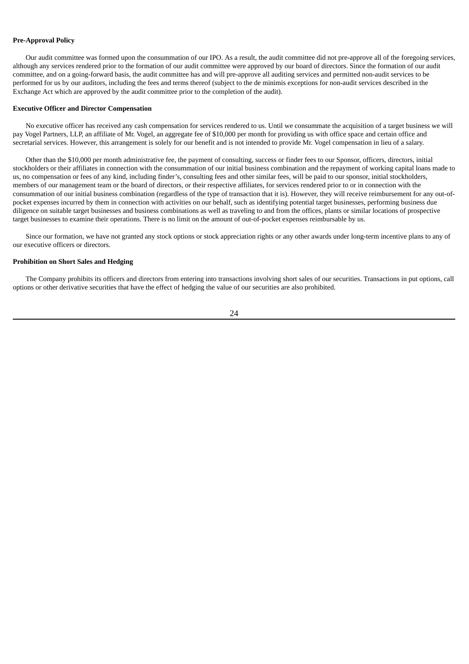#### **Pre-Approval Policy**

Our audit committee was formed upon the consummation of our IPO. As a result, the audit committee did not pre-approve all of the foregoing services, although any services rendered prior to the formation of our audit committee were approved by our board of directors. Since the formation of our audit committee, and on a going-forward basis, the audit committee has and will pre-approve all auditing services and permitted non-audit services to be performed for us by our auditors, including the fees and terms thereof (subject to the de minimis exceptions for non-audit services described in the Exchange Act which are approved by the audit committee prior to the completion of the audit).

#### **Executive Officer and Director Compensation**

No executive officer has received any cash compensation for services rendered to us. Until we consummate the acquisition of a target business we will pay Vogel Partners, LLP, an affiliate of Mr. Vogel, an aggregate fee of \$10,000 per month for providing us with office space and certain office and secretarial services. However, this arrangement is solely for our benefit and is not intended to provide Mr. Vogel compensation in lieu of a salary.

Other than the \$10,000 per month administrative fee, the payment of consulting, success or finder fees to our Sponsor, officers, directors, initial stockholders or their affiliates in connection with the consummation of our initial business combination and the repayment of working capital loans made to us, no compensation or fees of any kind, including finder's, consulting fees and other similar fees, will be paid to our sponsor, initial stockholders, members of our management team or the board of directors, or their respective affiliates, for services rendered prior to or in connection with the consummation of our initial business combination (regardless of the type of transaction that it is). However, they will receive reimbursement for any out-ofpocket expenses incurred by them in connection with activities on our behalf, such as identifying potential target businesses, performing business due diligence on suitable target businesses and business combinations as well as traveling to and from the offices, plants or similar locations of prospective target businesses to examine their operations. There is no limit on the amount of out-of-pocket expenses reimbursable by us.

Since our formation, we have not granted any stock options or stock appreciation rights or any other awards under long-term incentive plans to any of our executive officers or directors.

## **Prohibition on Short Sales and Hedging**

The Company prohibits its officers and directors from entering into transactions involving short sales of our securities. Transactions in put options, call options or other derivative securities that have the effect of hedging the value of our securities are also prohibited.

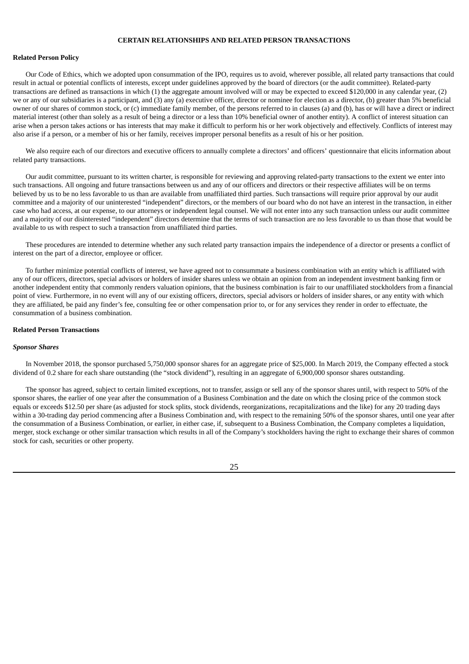# **CERTAIN RELATIONSHIPS AND RELATED PERSON TRANSACTIONS**

## **Related Person Policy**

Our Code of Ethics, which we adopted upon consummation of the IPO, requires us to avoid, wherever possible, all related party transactions that could result in actual or potential conflicts of interests, except under guidelines approved by the board of directors (or the audit committee). Related-party transactions are defined as transactions in which (1) the aggregate amount involved will or may be expected to exceed \$120,000 in any calendar year, (2) we or any of our subsidiaries is a participant, and (3) any (a) executive officer, director or nominee for election as a director, (b) greater than 5% beneficial owner of our shares of common stock, or (c) immediate family member, of the persons referred to in clauses (a) and (b), has or will have a direct or indirect material interest (other than solely as a result of being a director or a less than 10% beneficial owner of another entity). A conflict of interest situation can arise when a person takes actions or has interests that may make it difficult to perform his or her work objectively and effectively. Conflicts of interest may also arise if a person, or a member of his or her family, receives improper personal benefits as a result of his or her position.

We also require each of our directors and executive officers to annually complete a directors' and officers' questionnaire that elicits information about related party transactions.

Our audit committee, pursuant to its written charter, is responsible for reviewing and approving related-party transactions to the extent we enter into such transactions. All ongoing and future transactions between us and any of our officers and directors or their respective affiliates will be on terms believed by us to be no less favorable to us than are available from unaffiliated third parties. Such transactions will require prior approval by our audit committee and a majority of our uninterested "independent" directors, or the members of our board who do not have an interest in the transaction, in either case who had access, at our expense, to our attorneys or independent legal counsel. We will not enter into any such transaction unless our audit committee and a majority of our disinterested "independent" directors determine that the terms of such transaction are no less favorable to us than those that would be available to us with respect to such a transaction from unaffiliated third parties.

These procedures are intended to determine whether any such related party transaction impairs the independence of a director or presents a conflict of interest on the part of a director, employee or officer.

To further minimize potential conflicts of interest, we have agreed not to consummate a business combination with an entity which is affiliated with any of our officers, directors, special advisors or holders of insider shares unless we obtain an opinion from an independent investment banking firm or another independent entity that commonly renders valuation opinions, that the business combination is fair to our unaffiliated stockholders from a financial point of view. Furthermore, in no event will any of our existing officers, directors, special advisors or holders of insider shares, or any entity with which they are affiliated, be paid any finder's fee, consulting fee or other compensation prior to, or for any services they render in order to effectuate, the consummation of a business combination.

#### **Related Person Transactions**

#### *Sponsor Shares*

In November 2018, the sponsor purchased 5,750,000 sponsor shares for an aggregate price of \$25,000. In March 2019, the Company effected a stock dividend of 0.2 share for each share outstanding (the "stock dividend"), resulting in an aggregate of 6,900,000 sponsor shares outstanding.

The sponsor has agreed, subject to certain limited exceptions, not to transfer, assign or sell any of the sponsor shares until, with respect to 50% of the sponsor shares, the earlier of one year after the consummation of a Business Combination and the date on which the closing price of the common stock equals or exceeds \$12.50 per share (as adjusted for stock splits, stock dividends, reorganizations, recapitalizations and the like) for any 20 trading days within a 30-trading day period commencing after a Business Combination and, with respect to the remaining 50% of the sponsor shares, until one year after the consummation of a Business Combination, or earlier, in either case, if, subsequent to a Business Combination, the Company completes a liquidation, merger, stock exchange or other similar transaction which results in all of the Company's stockholders having the right to exchange their shares of common stock for cash, securities or other property.

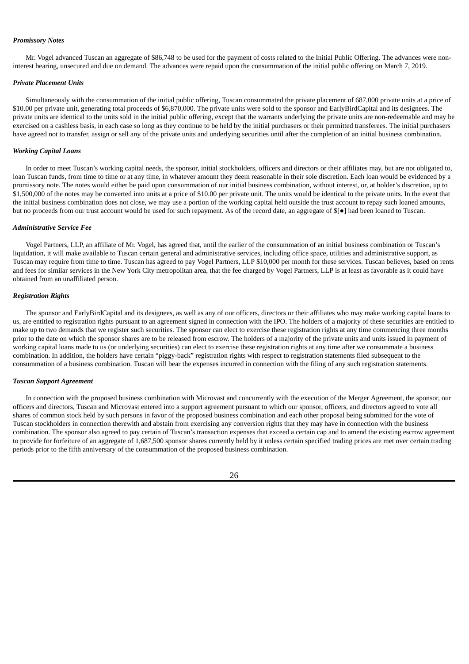## *Promissory Notes*

Mr. Vogel advanced Tuscan an aggregate of \$86,748 to be used for the payment of costs related to the Initial Public Offering. The advances were noninterest bearing, unsecured and due on demand. The advances were repaid upon the consummation of the initial public offering on March 7, 2019.

#### *Private Placement Units*

Simultaneously with the consummation of the initial public offering, Tuscan consummated the private placement of 687,000 private units at a price of \$10.00 per private unit, generating total proceeds of \$6,870,000. The private units were sold to the sponsor and EarlyBirdCapital and its designees. The private units are identical to the units sold in the initial public offering, except that the warrants underlying the private units are non-redeemable and may be exercised on a cashless basis, in each case so long as they continue to be held by the initial purchasers or their permitted transferees. The initial purchasers have agreed not to transfer, assign or sell any of the private units and underlying securities until after the completion of an initial business combination.

#### *Working Capital Loans*

In order to meet Tuscan's working capital needs, the sponsor, initial stockholders, officers and directors or their affiliates may, but are not obligated to, loan Tuscan funds, from time to time or at any time, in whatever amount they deem reasonable in their sole discretion. Each loan would be evidenced by a promissory note. The notes would either be paid upon consummation of our initial business combination, without interest, or, at holder's discretion, up to \$1,500,000 of the notes may be converted into units at a price of \$10.00 per private unit. The units would be identical to the private units. In the event that the initial business combination does not close, we may use a portion of the working capital held outside the trust account to repay such loaned amounts, but no proceeds from our trust account would be used for such repayment. As of the record date, an aggregate of \$[●] had been loaned to Tuscan.

#### *Administrative Service Fee*

Vogel Partners, LLP, an affiliate of Mr. Vogel, has agreed that, until the earlier of the consummation of an initial business combination or Tuscan's liquidation, it will make available to Tuscan certain general and administrative services, including office space, utilities and administrative support, as Tuscan may require from time to time. Tuscan has agreed to pay Vogel Partners, LLP \$10,000 per month for these services. Tuscan believes, based on rents and fees for similar services in the New York City metropolitan area, that the fee charged by Vogel Partners, LLP is at least as favorable as it could have obtained from an unaffiliated person.

## *Registration Rights*

The sponsor and EarlyBirdCapital and its designees, as well as any of our officers, directors or their affiliates who may make working capital loans to us, are entitled to registration rights pursuant to an agreement signed in connection with the IPO. The holders of a majority of these securities are entitled to make up to two demands that we register such securities. The sponsor can elect to exercise these registration rights at any time commencing three months prior to the date on which the sponsor shares are to be released from escrow. The holders of a majority of the private units and units issued in payment of working capital loans made to us (or underlying securities) can elect to exercise these registration rights at any time after we consummate a business combination. In addition, the holders have certain "piggy-back" registration rights with respect to registration statements filed subsequent to the consummation of a business combination. Tuscan will bear the expenses incurred in connection with the filing of any such registration statements.

#### *Tuscan Support Agreement*

In connection with the proposed business combination with Microvast and concurrently with the execution of the Merger Agreement, the sponsor, our officers and directors, Tuscan and Microvast entered into a support agreement pursuant to which our sponsor, officers, and directors agreed to vote all shares of common stock held by such persons in favor of the proposed business combination and each other proposal being submitted for the vote of Tuscan stockholders in connection therewith and abstain from exercising any conversion rights that they may have in connection with the business combination. The sponsor also agreed to pay certain of Tuscan's transaction expenses that exceed a certain cap and to amend the existing escrow agreement to provide for forfeiture of an aggregate of 1,687,500 sponsor shares currently held by it unless certain specified trading prices are met over certain trading periods prior to the fifth anniversary of the consummation of the proposed business combination.

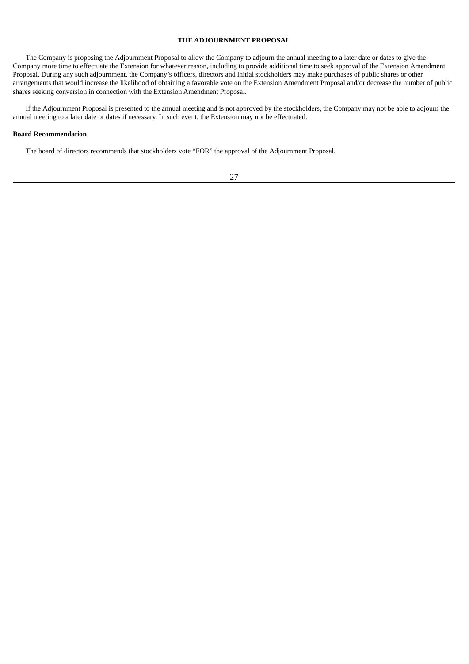# **THE ADJOURNMENT PROPOSAL**

The Company is proposing the Adjournment Proposal to allow the Company to adjourn the annual meeting to a later date or dates to give the Company more time to effectuate the Extension for whatever reason, including to provide additional time to seek approval of the Extension Amendment Proposal. During any such adjournment, the Company's officers, directors and initial stockholders may make purchases of public shares or other arrangements that would increase the likelihood of obtaining a favorable vote on the Extension Amendment Proposal and/or decrease the number of public shares seeking conversion in connection with the Extension Amendment Proposal.

If the Adjournment Proposal is presented to the annual meeting and is not approved by the stockholders, the Company may not be able to adjourn the annual meeting to a later date or dates if necessary. In such event, the Extension may not be effectuated.

#### **Board Recommendation**

The board of directors recommends that stockholders vote "FOR" the approval of the Adjournment Proposal.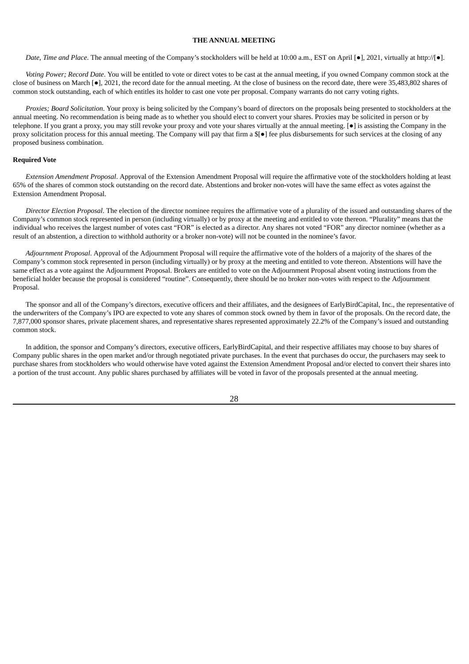# **THE ANNUAL MEETING**

*Date, Time and Place*. The annual meeting of the Company's stockholders will be held at 10:00 a.m., EST on April [●], 2021, virtually at http://[●].

*Voting Power; Record Date*. You will be entitled to vote or direct votes to be cast at the annual meeting, if you owned Company common stock at the close of business on March [●], 2021, the record date for the annual meeting. At the close of business on the record date, there were 35,483,802 shares of common stock outstanding, each of which entitles its holder to cast one vote per proposal. Company warrants do not carry voting rights.

*Proxies; Board Solicitation*. Your proxy is being solicited by the Company's board of directors on the proposals being presented to stockholders at the annual meeting. No recommendation is being made as to whether you should elect to convert your shares. Proxies may be solicited in person or by telephone. If you grant a proxy, you may still revoke your proxy and vote your shares virtually at the annual meeting. [●] is assisting the Company in the proxy solicitation process for this annual meeting. The Company will pay that firm a \$[●] fee plus disbursements for such services at the closing of any proposed business combination.

### **Required Vote**

*Extension Amendment Proposal*. Approval of the Extension Amendment Proposal will require the affirmative vote of the stockholders holding at least 65% of the shares of common stock outstanding on the record date. Abstentions and broker non-votes will have the same effect as votes against the Extension Amendment Proposal.

*Director Election Proposal*. The election of the director nominee requires the affirmative vote of a plurality of the issued and outstanding shares of the Company's common stock represented in person (including virtually) or by proxy at the meeting and entitled to vote thereon. "Plurality" means that the individual who receives the largest number of votes cast "FOR" is elected as a director. Any shares not voted "FOR" any director nominee (whether as a result of an abstention, a direction to withhold authority or a broker non-vote) will not be counted in the nominee's favor.

*Adjournment Proposal*. Approval of the Adjournment Proposal will require the affirmative vote of the holders of a majority of the shares of the Company's common stock represented in person (including virtually) or by proxy at the meeting and entitled to vote thereon. Abstentions will have the same effect as a vote against the Adjournment Proposal. Brokers are entitled to vote on the Adjournment Proposal absent voting instructions from the beneficial holder because the proposal is considered "routine". Consequently, there should be no broker non-votes with respect to the Adjournment Proposal.

The sponsor and all of the Company's directors, executive officers and their affiliates, and the designees of EarlyBirdCapital, Inc., the representative of the underwriters of the Company's IPO are expected to vote any shares of common stock owned by them in favor of the proposals. On the record date, the 7,877,000 sponsor shares, private placement shares, and representative shares represented approximately 22.2% of the Company's issued and outstanding common stock.

In addition, the sponsor and Company's directors, executive officers, EarlyBirdCapital, and their respective affiliates may choose to buy shares of Company public shares in the open market and/or through negotiated private purchases. In the event that purchases do occur, the purchasers may seek to purchase shares from stockholders who would otherwise have voted against the Extension Amendment Proposal and/or elected to convert their shares into a portion of the trust account. Any public shares purchased by affiliates will be voted in favor of the proposals presented at the annual meeting.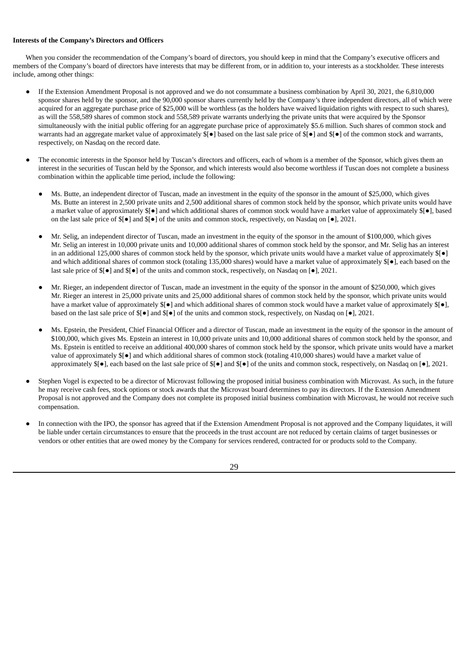# **Interests of the Company's Directors and Officers**

When you consider the recommendation of the Company's board of directors, you should keep in mind that the Company's executive officers and members of the Company's board of directors have interests that may be different from, or in addition to, your interests as a stockholder. These interests include, among other things:

- If the Extension Amendment Proposal is not approved and we do not consummate a business combination by April 30, 2021, the 6,810,000 sponsor shares held by the sponsor, and the 90,000 sponsor shares currently held by the Company's three independent directors, all of which were acquired for an aggregate purchase price of \$25,000 will be worthless (as the holders have waived liquidation rights with respect to such shares), as will the 558,589 shares of common stock and 558,589 private warrants underlying the private units that were acquired by the Sponsor simultaneously with the initial public offering for an aggregate purchase price of approximately \$5.6 million. Such shares of common stock and warrants had an aggregate market value of approximately  $\oint$ [●] based on the last sale price of  $\oint$ [●] and  $\oint$ [●] of the common stock and warrants, respectively, on Nasdaq on the record date.
- The economic interests in the Sponsor held by Tuscan's directors and officers, each of whom is a member of the Sponsor, which gives them an interest in the securities of Tuscan held by the Sponsor, and which interests would also become worthless if Tuscan does not complete a business combination within the applicable time period, include the following:
	- Ms. Butte, an independent director of Tuscan, made an investment in the equity of the sponsor in the amount of \$25,000, which gives Ms. Butte an interest in 2,500 private units and 2,500 additional shares of common stock held by the sponsor, which private units would have a market value of approximately \$[●] and which additional shares of common stock would have a market value of approximately \$[●], based on the last sale price of \$[●] and \$[●] of the units and common stock, respectively, on Nasdaq on [●], 2021.
	- Mr. Selig, an independent director of Tuscan, made an investment in the equity of the sponsor in the amount of \$100,000, which gives Mr. Selig an interest in 10,000 private units and 10,000 additional shares of common stock held by the sponsor, and Mr. Selig has an interest in an additional 125,000 shares of common stock held by the sponsor, which private units would have a market value of approximately \$[●] and which additional shares of common stock (totaling 135,000 shares) would have a market value of approximately \$[●], each based on the last sale price of \$[●] and \$[●] of the units and common stock, respectively, on Nasdaq on [●], 2021.
	- Mr. Rieger, an independent director of Tuscan, made an investment in the equity of the sponsor in the amount of \$250,000, which gives Mr. Rieger an interest in 25,000 private units and 25,000 additional shares of common stock held by the sponsor, which private units would have a market value of approximately \$[●] and which additional shares of common stock would have a market value of approximately \$[●], based on the last sale price of \$[●] and \$[●] of the units and common stock, respectively, on Nasdaq on [●], 2021.
	- Ms. Epstein, the President, Chief Financial Officer and a director of Tuscan, made an investment in the equity of the sponsor in the amount of \$100,000, which gives Ms. Epstein an interest in 10,000 private units and 10,000 additional shares of common stock held by the sponsor, and Ms. Epstein is entitled to receive an additional 400,000 shares of common stock held by the sponsor, which private units would have a market value of approximately \$[●] and which additional shares of common stock (totaling 410,000 shares) would have a market value of approximately \$[●], each based on the last sale price of \$[●] and \$[●] of the units and common stock, respectively, on Nasdaq on [●], 2021.
- Stephen Vogel is expected to be a director of Microvast following the proposed initial business combination with Microvast. As such, in the future he may receive cash fees, stock options or stock awards that the Microvast board determines to pay its directors. If the Extension Amendment Proposal is not approved and the Company does not complete its proposed initial business combination with Microvast, he would not receive such compensation.
- In connection with the IPO, the sponsor has agreed that if the Extension Amendment Proposal is not approved and the Company liquidates, it will be liable under certain circumstances to ensure that the proceeds in the trust account are not reduced by certain claims of target businesses or vendors or other entities that are owed money by the Company for services rendered, contracted for or products sold to the Company.

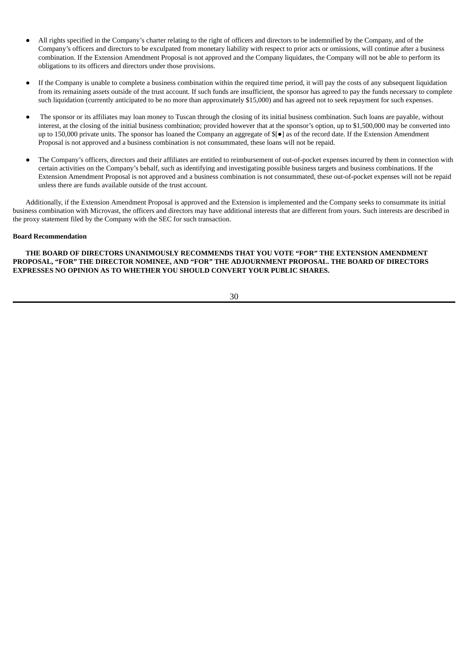- All rights specified in the Company's charter relating to the right of officers and directors to be indemnified by the Company, and of the Company's officers and directors to be exculpated from monetary liability with respect to prior acts or omissions, will continue after a business combination. If the Extension Amendment Proposal is not approved and the Company liquidates, the Company will not be able to perform its obligations to its officers and directors under those provisions.
- If the Company is unable to complete a business combination within the required time period, it will pay the costs of any subsequent liquidation from its remaining assets outside of the trust account. If such funds are insufficient, the sponsor has agreed to pay the funds necessary to complete such liquidation (currently anticipated to be no more than approximately \$15,000) and has agreed not to seek repayment for such expenses.
- The sponsor or its affiliates may loan money to Tuscan through the closing of its initial business combination. Such loans are payable, without interest, at the closing of the initial business combination; provided however that at the sponsor's option, up to \$1,500,000 may be converted into up to 150,000 private units. The sponsor has loaned the Company an aggregate of \$[●] as of the record date. If the Extension Amendment Proposal is not approved and a business combination is not consummated, these loans will not be repaid.
- The Company's officers, directors and their affiliates are entitled to reimbursement of out-of-pocket expenses incurred by them in connection with certain activities on the Company's behalf, such as identifying and investigating possible business targets and business combinations. If the Extension Amendment Proposal is not approved and a business combination is not consummated, these out-of-pocket expenses will not be repaid unless there are funds available outside of the trust account.

Additionally, if the Extension Amendment Proposal is approved and the Extension is implemented and the Company seeks to consummate its initial business combination with Microvast, the officers and directors may have additional interests that are different from yours. Such interests are described in the proxy statement filed by the Company with the SEC for such transaction.

## **Board Recommendation**

**THE BOARD OF DIRECTORS UNANIMOUSLY RECOMMENDS THAT YOU VOTE "FOR" THE EXTENSION AMENDMENT PROPOSAL, "FOR" THE DIRECTOR NOMINEE, AND "FOR" THE ADJOURNMENT PROPOSAL. THE BOARD OF DIRECTORS EXPRESSES NO OPINION AS TO WHETHER YOU SHOULD CONVERT YOUR PUBLIC SHARES.**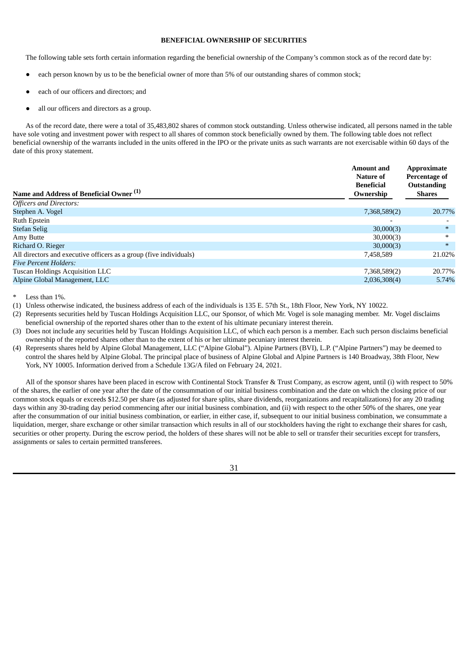# **BENEFICIAL OWNERSHIP OF SECURITIES**

The following table sets forth certain information regarding the beneficial ownership of the Company's common stock as of the record date by:

- each person known by us to be the beneficial owner of more than 5% of our outstanding shares of common stock;
- each of our officers and directors; and
- all our officers and directors as a group.

As of the record date, there were a total of 35,483,802 shares of common stock outstanding. Unless otherwise indicated, all persons named in the table have sole voting and investment power with respect to all shares of common stock beneficially owned by them. The following table does not reflect beneficial ownership of the warrants included in the units offered in the IPO or the private units as such warrants are not exercisable within 60 days of the date of this proxy statement.

| Name and Address of Beneficial Owner <sup>(1)</sup>                | <b>Amount</b> and<br>Nature of<br><b>Beneficial</b><br>Ownership | <b>Approximate</b><br><b>Percentage of</b><br><b>Outstanding</b><br><b>Shares</b> |
|--------------------------------------------------------------------|------------------------------------------------------------------|-----------------------------------------------------------------------------------|
| <b>Officers and Directors:</b>                                     |                                                                  |                                                                                   |
| Stephen A. Vogel                                                   | 7,368,589(2)                                                     | 20.77%                                                                            |
| Ruth Epstein                                                       |                                                                  |                                                                                   |
| <b>Stefan Selig</b>                                                | 30,000(3)                                                        | $*$                                                                               |
| Amy Butte                                                          | 30,000(3)                                                        | $\ast$                                                                            |
| Richard O. Rieger                                                  | 30,000(3)                                                        | $\ast$                                                                            |
| All directors and executive officers as a group (five individuals) | 7,458,589                                                        | 21.02%                                                                            |
| <b>Five Percent Holders:</b>                                       |                                                                  |                                                                                   |
| Tuscan Holdings Acquisition LLC                                    | 7,368,589(2)                                                     | 20.77%                                                                            |
| Alpine Global Management, LLC                                      | 2,036,308(4)                                                     | 5.74%                                                                             |

Less than  $1\%$ .

(1) Unless otherwise indicated, the business address of each of the individuals is 135 E. 57th St., 18th Floor, New York, NY 10022.

(2) Represents securities held by Tuscan Holdings Acquisition LLC, our Sponsor, of which Mr. Vogel is sole managing member. Mr. Vogel disclaims beneficial ownership of the reported shares other than to the extent of his ultimate pecuniary interest therein.

(3) Does not include any securities held by Tuscan Holdings Acquisition LLC, of which each person is a member. Each such person disclaims beneficial ownership of the reported shares other than to the extent of his or her ultimate pecuniary interest therein.

(4) Represents shares held by Alpine Global Management, LLC ("Alpine Global"). Alpine Partners (BVI), L.P. ("Alpine Partners") may be deemed to control the shares held by Alpine Global. The principal place of business of Alpine Global and Alpine Partners is 140 Broadway, 38th Floor, New York, NY 10005. Information derived from a Schedule 13G/A filed on February 24, 2021.

All of the sponsor shares have been placed in escrow with Continental Stock Transfer & Trust Company, as escrow agent, until (i) with respect to 50% of the shares, the earlier of one year after the date of the consummation of our initial business combination and the date on which the closing price of our common stock equals or exceeds \$12.50 per share (as adjusted for share splits, share dividends, reorganizations and recapitalizations) for any 20 trading days within any 30-trading day period commencing after our initial business combination, and (ii) with respect to the other 50% of the shares, one year after the consummation of our initial business combination, or earlier, in either case, if, subsequent to our initial business combination, we consummate a liquidation, merger, share exchange or other similar transaction which results in all of our stockholders having the right to exchange their shares for cash, securities or other property. During the escrow period, the holders of these shares will not be able to sell or transfer their securities except for transfers, assignments or sales to certain permitted transferees.

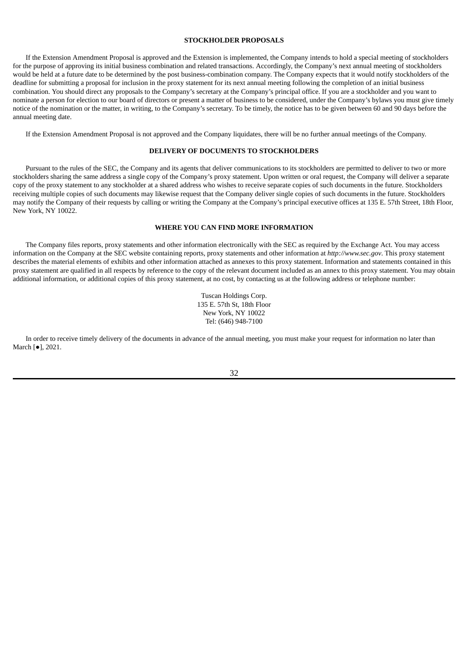# **STOCKHOLDER PROPOSALS**

If the Extension Amendment Proposal is approved and the Extension is implemented, the Company intends to hold a special meeting of stockholders for the purpose of approving its initial business combination and related transactions. Accordingly, the Company's next annual meeting of stockholders would be held at a future date to be determined by the post business-combination company. The Company expects that it would notify stockholders of the deadline for submitting a proposal for inclusion in the proxy statement for its next annual meeting following the completion of an initial business combination. You should direct any proposals to the Company's secretary at the Company's principal office. If you are a stockholder and you want to nominate a person for election to our board of directors or present a matter of business to be considered, under the Company's bylaws you must give timely notice of the nomination or the matter, in writing, to the Company's secretary. To be timely, the notice has to be given between 60 and 90 days before the annual meeting date.

If the Extension Amendment Proposal is not approved and the Company liquidates, there will be no further annual meetings of the Company.

# **DELIVERY OF DOCUMENTS TO STOCKHOLDERS**

Pursuant to the rules of the SEC, the Company and its agents that deliver communications to its stockholders are permitted to deliver to two or more stockholders sharing the same address a single copy of the Company's proxy statement. Upon written or oral request, the Company will deliver a separate copy of the proxy statement to any stockholder at a shared address who wishes to receive separate copies of such documents in the future. Stockholders receiving multiple copies of such documents may likewise request that the Company deliver single copies of such documents in the future. Stockholders may notify the Company of their requests by calling or writing the Company at the Company's principal executive offices at 135 E. 57th Street, 18th Floor, New York, NY 10022.

#### **WHERE YOU CAN FIND MORE INFORMATION**

The Company files reports, proxy statements and other information electronically with the SEC as required by the Exchange Act. You may access information on the Company at the SEC website containing reports, proxy statements and other information at *http://www.sec.gov*. This proxy statement describes the material elements of exhibits and other information attached as annexes to this proxy statement. Information and statements contained in this proxy statement are qualified in all respects by reference to the copy of the relevant document included as an annex to this proxy statement. You may obtain additional information, or additional copies of this proxy statement, at no cost, by contacting us at the following address or telephone number:

> Tuscan Holdings Corp. 135 E. 57th St, 18th Floor New York, NY 10022 Tel: (646) 948-7100

In order to receive timely delivery of the documents in advance of the annual meeting, you must make your request for information no later than March [●], 2021.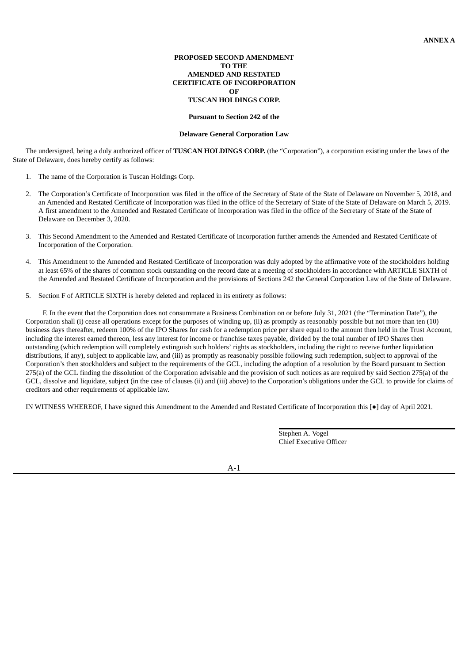# **PROPOSED SECOND AMENDMENT TO THE AMENDED AND RESTATED CERTIFICATE OF INCORPORATION OF TUSCAN HOLDINGS CORP.**

#### **Pursuant to Section 242 of the**

#### **Delaware General Corporation Law**

The undersigned, being a duly authorized officer of **TUSCAN HOLDINGS CORP.** (the "Corporation"), a corporation existing under the laws of the State of Delaware, does hereby certify as follows:

- 1. The name of the Corporation is Tuscan Holdings Corp.
- 2. The Corporation's Certificate of Incorporation was filed in the office of the Secretary of State of the State of Delaware on November 5, 2018, and an Amended and Restated Certificate of Incorporation was filed in the office of the Secretary of State of the State of Delaware on March 5, 2019. A first amendment to the Amended and Restated Certificate of Incorporation was filed in the office of the Secretary of State of the State of Delaware on December 3, 2020.
- 3. This Second Amendment to the Amended and Restated Certificate of Incorporation further amends the Amended and Restated Certificate of Incorporation of the Corporation.
- 4. This Amendment to the Amended and Restated Certificate of Incorporation was duly adopted by the affirmative vote of the stockholders holding at least 65% of the shares of common stock outstanding on the record date at a meeting of stockholders in accordance with ARTICLE SIXTH of the Amended and Restated Certificate of Incorporation and the provisions of Sections 242 the General Corporation Law of the State of Delaware.
- 5. Section F of ARTICLE SIXTH is hereby deleted and replaced in its entirety as follows:

F. In the event that the Corporation does not consummate a Business Combination on or before July 31, 2021 (the "Termination Date"), the Corporation shall (i) cease all operations except for the purposes of winding up, (ii) as promptly as reasonably possible but not more than ten (10) business days thereafter, redeem 100% of the IPO Shares for cash for a redemption price per share equal to the amount then held in the Trust Account, including the interest earned thereon, less any interest for income or franchise taxes payable, divided by the total number of IPO Shares then outstanding (which redemption will completely extinguish such holders' rights as stockholders, including the right to receive further liquidation distributions, if any), subject to applicable law, and (iii) as promptly as reasonably possible following such redemption, subject to approval of the Corporation's then stockholders and subject to the requirements of the GCL, including the adoption of a resolution by the Board pursuant to Section 275(a) of the GCL finding the dissolution of the Corporation advisable and the provision of such notices as are required by said Section 275(a) of the GCL, dissolve and liquidate, subject (in the case of clauses (ii) and (iii) above) to the Corporation's obligations under the GCL to provide for claims of creditors and other requirements of applicable law.

IN WITNESS WHEREOF, I have signed this Amendment to the Amended and Restated Certificate of Incorporation this [●] day of April 2021.

Stephen A. Vogel Chief Executive Officer

A-1